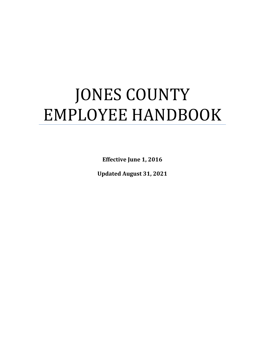# JONES COUNTY EMPLOYEE HANDBOOK

**Effective June 1, 2016**

**Updated August 31, 2021**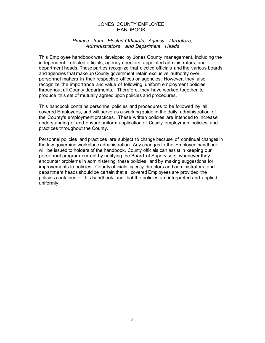#### JONES COUNTY EMPLOYEE HANDBOOK

#### *Preface from Elected Officials, Agency Directors, Administrators and Department Heads*

This Employee handbook was developed by Jones County management, including the independent elected officials, agency directors, appointed administrators, and department heads. These parties recognize that elected officials and the various boards and agencies that make up County government retain exclusive authority over personnel matters in their respective offices or agencies. However, they also recognize the importance and value of following uniform employment policies throughout all County departments. Therefore, they have worked together to produce this set of mutually agreed upon policies and procedures.

This handbook contains personnel policies and procedures to be followed by all covered Employees, and will serve as a working guide in the daily administration of the County's employment practices. These written policies are intended to increase understanding of and ensure uniform application of County employment policies and practices throughout the County.

Personnel policies and practices are subject to change because of continual changes in the law governing workplace administration. Any changes to the Employee handbook will be issued to holders of the handbook. County officials can assist in keeping our personnel program current by notifying the Board of Supervisors whenever they encounter problems in administering these policies, and by making suggestions for improvements to policies. County officials, agency directors and administrators, and department heads should be certain that all covered Employees are provided the policies contained in this handbook, and that the policies are interpreted and applied uniformly.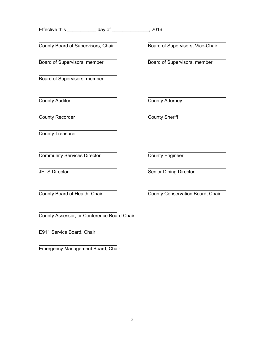County Board of Supervisors, Chair **Board of Supervisors, Vice-Chair** 

Board of Supervisors, member Board of Supervisors, member

Board of Supervisors, member

**County Auditor** 

 $\overline{a}$ 

 $\overline{a}$ 

 $\overline{a}$ 

**County Recorder County Sheriff** 

 $\overline{a}$ County Treasurer

Community Services Director **County Engineer** County Engineer

 $\overline{a}$ County Assessor, or Conference Board Chair

 $\overline{a}$ E911 Service Board, Chair

 $\overline{a}$ Emergency Management Board, Chair

County Attorney

**JETS Director** Senior Dining Director

County Board of Health, Chair County County Conservation Board, Chair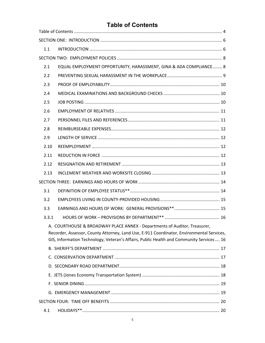# **Table of Contents**

| 1.1   |                                                                                                                                                                                                                                                                   |  |
|-------|-------------------------------------------------------------------------------------------------------------------------------------------------------------------------------------------------------------------------------------------------------------------|--|
|       |                                                                                                                                                                                                                                                                   |  |
| 2.1   | EQUAL EMPLOYMENT OPPORTUNITY, HARASSMENT, GINA & ADA COMPLIANCE 8                                                                                                                                                                                                 |  |
| 2.2   |                                                                                                                                                                                                                                                                   |  |
| 2.3   |                                                                                                                                                                                                                                                                   |  |
| 2.4   |                                                                                                                                                                                                                                                                   |  |
| 2.5   |                                                                                                                                                                                                                                                                   |  |
| 2.6   |                                                                                                                                                                                                                                                                   |  |
| 2.7   |                                                                                                                                                                                                                                                                   |  |
| 2.8   |                                                                                                                                                                                                                                                                   |  |
| 2.9   |                                                                                                                                                                                                                                                                   |  |
| 2.10  |                                                                                                                                                                                                                                                                   |  |
| 2.11  |                                                                                                                                                                                                                                                                   |  |
| 2.12  |                                                                                                                                                                                                                                                                   |  |
| 2.13  |                                                                                                                                                                                                                                                                   |  |
|       |                                                                                                                                                                                                                                                                   |  |
| 3.1   |                                                                                                                                                                                                                                                                   |  |
| 3.2   |                                                                                                                                                                                                                                                                   |  |
| 3.3   |                                                                                                                                                                                                                                                                   |  |
| 3.3.1 |                                                                                                                                                                                                                                                                   |  |
|       | A. COURTHOUSE & BROADWAY PLACE ANNEX - Departments of Auditor, Treasurer,<br>Recorder, Assessor, County Attorney, Land Use, E-911 Coordinator, Environmental Services,<br>GIS, Information Technology, Veteran's Affairs, Public Health and Community Services 16 |  |
|       |                                                                                                                                                                                                                                                                   |  |
|       |                                                                                                                                                                                                                                                                   |  |
|       |                                                                                                                                                                                                                                                                   |  |
|       |                                                                                                                                                                                                                                                                   |  |
|       |                                                                                                                                                                                                                                                                   |  |
|       |                                                                                                                                                                                                                                                                   |  |
|       |                                                                                                                                                                                                                                                                   |  |
| 4.1   |                                                                                                                                                                                                                                                                   |  |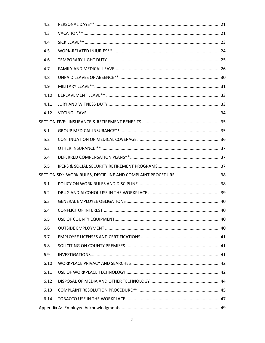| 4.2  |  |
|------|--|
| 4.3  |  |
| 4.4  |  |
| 4.5  |  |
| 4.6  |  |
| 4.7  |  |
| 4.8  |  |
| 4.9  |  |
| 4.10 |  |
| 4.11 |  |
| 4.12 |  |
|      |  |
| 5.1  |  |
| 5.2  |  |
| 5.3  |  |
| 5.4  |  |
| 5.5  |  |
|      |  |
| 6.1  |  |
| 6.2  |  |
| 6.3  |  |
| 6.4  |  |
| 6.5  |  |
| 6.6  |  |
| 6.7  |  |
| 6.8  |  |
| 6.9  |  |
| 6.10 |  |
| 6.11 |  |
| 6.12 |  |
| 6.13 |  |
| 6.14 |  |
|      |  |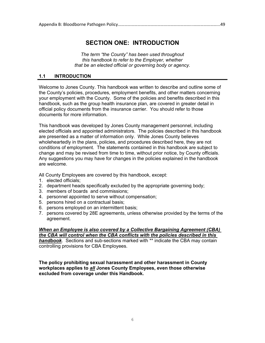# **SECTION ONE: INTRODUCTION**

*The term "the County" has been used throughout this handbook to refer to the Employer, whether that be an elected official or governing body or agency.*

## **1.1 INTRODUCTION**

Welcome to Jones County. This handbook was written to describe and outline some of the County's policies, procedures, employment benefits, and other matters concerning your employment with the County. Some of the policies and benefits described in this handbook, such as the group health insurance plan, are covered in greater detail in official policy documents from the insurance carrier. You should refer to those documents for more information.

This handbook was developed by Jones County management personnel, including elected officials and appointed administrators. The policies described in this handbook are presented as a matter of information only. While Jones County believes wholeheartedly in the plans, policies, and procedures described here, they are not conditions of employment. The statements contained in this handbook are subject to change and may be revised from time to time, without prior notice, by County officials. Any suggestions you may have for changes in the policies explained in the handbook are welcome.

All County Employees are covered by this handbook, except:

- 1. elected officials;
- 2. department heads specifically excluded by the appropriate governing body;
- 3. members of boards and commissions;
- 4. personnel appointed to serve without compensation;
- 5. persons hired on a contractual basis;
- 6. persons employed on an intermittent basis;
- 7. persons covered by 28E agreements, unless otherwise provided by the terms of the agreement.

#### *When an Employee is also covered by a Collective Bargaining Agreement (CBA) the CBA will control when the CBA conflicts with the policies described in this*

*handbook*. Sections and sub-sections marked with \*\* indicate the CBA may contain controlling provisions for CBA Employees.

**The policy prohibiting sexual harassment and other harassment in County workplaces applies to** *all* **Jones County Employees, even those otherwise excluded from coverage under this Handbook.**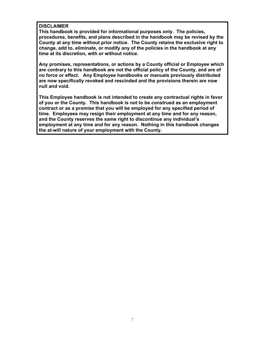## **DISCLAIMER**

**This handbook is provided for informational purposes only. The policies, procedures, benefits, and plans described in the handbook may be revised by the County at any time without prior notice. The County retains the exclusive right to change, add to, eliminate, or modify any of the policies in the handbook at any time at its discretion, with or without notice.** 

**Any promises, representations, or actions by a County official or Employee which are contrary to this handbook are not the official policy of the County, and are of no force or effect. Any Employee handbooks or manuals previously distributed are now specifically revoked and rescinded and the provisions therein are now null and void.** 

**This Employee handbook is not intended to create any contractual rights in favor of you or the County. This handbook is not to be construed as an employment contract or as a promise that you will be employed for any specified period of time. Employees may resign their employment at any time and for any reason, and the County reserves the same right to discontinue any individual's employment at any time and for any reason. Nothing in this handbook changes the at-will nature of your employment with the County.**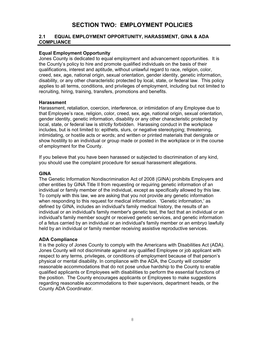# **SECTION TWO: EMPLOYMENT POLICIES**

#### **2.1 EQUAL EMPLOYMENT OPPORTUNITY, HARASSMENT, GINA & ADA COMPLIANCE**

## **Equal Employment Opportunity**

Jones County is dedicated to equal employment and advancement opportunities. It is the County's policy to hire and promote qualified individuals on the basis of their qualifications, interest and aptitude, without unlawful regard to race, religion, color, creed, sex, age, national origin, sexual orientation, gender identity, genetic information, disability, or any other characteristic protected by local, state, or federal law. This policy applies to all terms, conditions, and privileges of employment, including but not limited to recruiting, hiring, training, transfers, promotions and benefits.

#### **Harassment**

Harassment, retaliation, coercion, interference, or intimidation of any Employee due to that Employee's race, religion, color, creed, sex, age, national origin, sexual orientation, gender identity, genetic information, disability or any other characteristic protected by local, state, or federal law is strictly forbidden. Harassing conduct in the workplace includes, but is not limited to: epithets, slurs, or negative stereotyping; threatening, intimidating, or hostile acts or words; and written or printed materials that denigrate or show hostility to an individual or group made or posted in the workplace or in the course of employment for the County.

If you believe that you have been harassed or subjected to discrimination of any kind, you should use the complaint procedure for sexual harassment allegations.

#### **GINA**

The Genetic Information Nondiscrimination Act of 2008 (GINA) prohibits Employers and other entities by GINA Title II from requesting or requiring genetic information of an individual or family member of the individual, except as specifically allowed by this law. To comply with this law, we are asking that you not provide any genetic information when responding to this request for medical information. 'Genetic information,' as defined by GINA, includes an individual's family medical history, the results of an individual or an individual's family member's genetic test, the fact that an individual or an individual's family member sought or received genetic services, and genetic information of a fetus carried by an individual or an individual's family member or an embryo lawfully held by an individual or family member receiving assistive reproductive services.

#### **ADA Compliance**

It is the policy of Jones County to comply with the Americans with Disabilities Act (ADA). Jones County will not discriminate against any qualified Employee or job applicant with respect to any terms, privileges, or conditions of employment because of that person's physical or mental disability. In compliance with the ADA, the County will consider reasonable accommodations that do not pose undue hardship to the County to enable qualified applicants or Employees with disabilities to perform the essential functions of the position. The County encourages applicants or Employees to make suggestions regarding reasonable accommodations to their supervisors, department heads, or the County ADA Coordinator.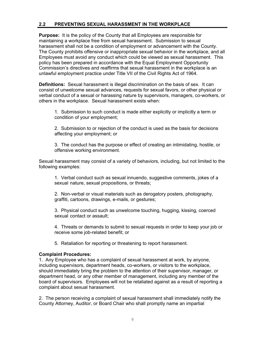## **2.2 PREVENTING SEXUAL HARASSMENT IN THE WORKPLACE**

**Purpose:** It is the policy of the County that all Employees are responsible for maintaining a workplace free from sexual harassment. Submission to sexual harassment shall not be a condition of employment or advancement with the County. The County prohibits offensive or inappropriate sexual behavior in the workplace, and all Employees must avoid any conduct which could be viewed as sexual harassment. This policy has been prepared in accordance with the Equal Employment Opportunity Commission's directives and reaffirms that sexual harassment in the workplace is an unlawful employment practice under Title VII of the Civil Rights Act of 1964.

**Definitions:** Sexual harassment is illegal discrimination on the basis of sex. It can consist of unwelcome sexual advances, requests for sexual favors, or other physical or verbal conduct of a sexual or harassing nature by supervisors, managers, co-workers, or others in the workplace. Sexual harassment exists when:

 1. Submission to such conduct is made either explicitly or implicitly a term or condition of your employment;

 2. Submission to or rejection of the conduct is used as the basis for decisions affecting your employment; or

 3. The conduct has the purpose or effect of creating an intimidating, hostile, or offensive working environment.

Sexual harassment may consist of a variety of behaviors, including, but not limited to the following examples:

 1. Verbal conduct such as sexual innuendo, suggestive comments, jokes of a sexual nature, sexual propositions, or threats;

 2. Non-verbal or visual materials such as derogatory posters, photography, graffiti, cartoons, drawings, e-mails, or gestures;

 3. Physical conduct such as unwelcome touching, hugging, kissing, coerced sexual contact or assault;

 4. Threats or demands to submit to sexual requests in order to keep your job or receive some job-related benefit; or

5. Retaliation for reporting or threatening to report harassment.

#### **Complaint Procedures:**

1. Any Employee who has a complaint of sexual harassment at work, by anyone, including supervisors, department heads, co-workers, or visitors to the workplace, should immediately bring the problem to the attention of their supervisor, manager, or department head, or any other member of management, including any member of the board of supervisors. Employees will not be retaliated against as a result of reporting a complaint about sexual harassment.

2. The person receiving a complaint of sexual harassment shall immediately notify the County Attorney, Auditor, or Board Chair who shall promptly name an impartial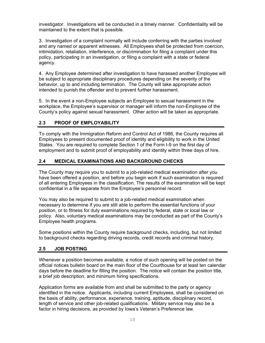investigator. Investigations will be conducted in a timely manner. Confidentiality will be maintained to the extent that is possible.

3. Investigation of a complaint normally will include conferring with the parties involved and any named or apparent witnesses. All Employees shall be protected from coercion, intimidation, retaliation, interference, or discrimination for filing a complaint under this policy, participating in an investigation, or filing a complaint with a state or federal agency.

4. Any Employee determined after investigation to have harassed another Employee will be subject to appropriate disciplinary procedures depending on the severity of the behavior, up to and including termination. The County will take appropriate action intended to punish the offender and to prevent further harassment.

5. In the event a non-Employee subjects an Employee to sexual harassment in the workplace, the Employee's supervisor or manager will inform the non-Employee of the County's policy against sexual harassment. Other action will be taken as appropriate.

## **2.3 PROOF OF EMPLOYABILITY**

To comply with the Immigration Reform and Control Act of 1986, the County requires all Employees to present documented proof of identity and eligibility to work in the United States. You are required to complete Section 1 of the Form I-9 on the first day of employment and to submit proof of employability and identity within three days of hire.

## **2.4 MEDICAL EXAMINATIONS AND BACKGROUND CHECKS**

The County may require you to submit to a job-related medical examination after you have been offered a position, and before you begin work if such examination is required of all entering Employees in the classification. The results of the examination will be kept confidential in a file separate from the Employee's personnel record.

You may also be required to submit to a job-related medical examination when necessary to determine if you are still able to perform the essential functions of your position, or to fitness for duty examinations required by federal, state or local law or policy. Also, voluntary medical examinations may be conducted as part of the County's Employee health programs.

Some positions within the County require background checks, including, but not limited to background checks regarding driving records, credit records and criminal history.

## **2.5 JOB POSTING**

Whenever a position becomes available, a notice of such opening will be posted on the official notices bulletin board on the main floor of the Courthouse for at least ten calendar days before the deadline for filling the position. The notice will contain the position title, a brief job description, and minimum hiring specifications.

Application forms are available from and shall be submitted to the party or agency identified in the notice. Applicants, including current Employees, shall be considered on the basis of ability, performance, experience, training, aptitude, disciplinary record, length of service and other job-related qualifications. Military service may also be a factor in hiring decisions, as provided by Iowa's Veteran's Preference law.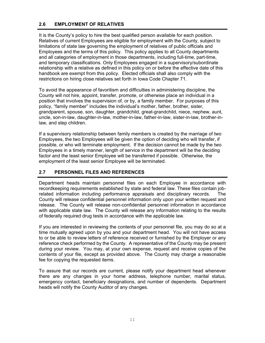## **2.6 EMPLOYMENT OF RELATIVES**

It is the County's policy to hire the best qualified person available for each position. Relatives of current Employees are eligible for employment with the County, subject to limitations of state law governing the employment of relatives of public officials and Employees and the terms of this policy. This policy applies to all County departments and all categories of employment in those departments, including full-time, part-time, and temporary classifications. Only Employees engaged in a supervisory/subordinate relationship with a relative as defined in this policy on or before the effective date of this handbook are exempt from this policy.Elected officials shall also comply with the restrictions on hiring close relatives set forth in Iowa Code Chapter 71.

To avoid the appearance of favoritism and difficulties in administering discipline, the County will not hire, appoint, transfer, promote, or otherwise place an individual in a position that involves the supervision of, or by, a family member. For purposes of this policy, "family member" includes the individual's mother, father, brother, sister, grandparent, spouse, son, daughter, grandchild, great-grandchild, niece, nephew, aunt, uncle, son-in-law, daughter-in-law, mother-in-law, father-in-law, sister-in-law, brother-inlaw, and step children.

If a supervisory relationship between family members is created by the marriage of two Employees, the two Employees will be given the option of deciding who will transfer, if possible, or who will terminate employment. If the decision cannot be made by the two Employees in a timely manner, length of service in the department will be the deciding factor and the least senior Employee will be transferred if possible. Otherwise, the employment of the least senior Employee will be terminated.

## **2.7 PERSONNEL FILES AND REFERENCES**

Department heads maintain personnel files on each Employee in accordance with recordkeeping requirements established by state and federal law. These files contain jobrelated information including performance appraisals and disciplinary records. The County will release confidential personnel information only upon your written request and release. The County will release non-confidential personnel information in accordance with applicable state law. The County will release any information relating to the results of federally required drug tests in accordance with the applicable law.

If you are interested in reviewing the contents of your personnel file, you may do so at a time mutually agreed upon by you and your department head. You will not have access to or be able to review letters of reference received or furnished by the Employer or any reference check performed by the County. A representative of the County may be present during your review. You may, at your own expense, request and receive copies of the contents of your file, except as provided above. The County may charge a reasonable fee for copying the requested items.

To assure that our records are current, please notify your department head whenever there are any changes in your home address, telephone number, marital status, emergency contact, beneficiary designations, and number of dependents. Department heads will notify the County Auditor of any changes.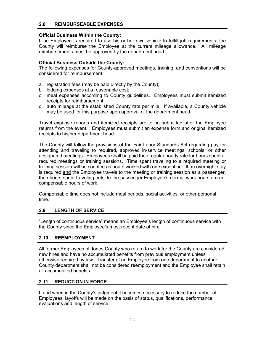## **2.8 REIMBURSEABLE EXPENSES**

## **Official Business Within the County:**

If an Employee is required to use his or her own vehicle to fulfill job requirements, the County will reimburse the Employee at the current mileage allowance. All mileage reimbursements must be approved by the department head.

## **Official Business Outside the County:**

The following expenses for County-approved meetings, training, and conventions will be considered for reimbursement:

- a. registration fees (may be paid directly by the County);
- b. lodging expenses at a reasonable cost;
- c. meal expenses according to County guidelines. Employees must submit itemized receipts for reimbursement;
- d. auto mileage at the established County rate per mile. If available, a County vehicle may be used for this purpose upon approval of the department head.

Travel expense reports and itemized receipts are to be submitted after the Employee returns from the event. Employees must submit an expense form and original itemized receipts to his/her department head.

The County will follow the provisions of the Fair Labor Standards Act regarding pay for attending and traveling to required, approved in-service meetings, schools, or other designated meetings. Employees shall be paid their regular hourly rate for hours spent at required meetings or training sessions. Time spent traveling to a required meeting or training session will be counted as hours worked with one exception: If an overnight stay is required and the Employee travels to the meeting or training session as a passenger, then hours spent traveling outside the passenger Employee's normal work hours are not compensable hours of work.

Compensable time does not include meal periods, social activities, or other personal time.

## **2.9 LENGTH OF SERVICE**

"Length of continuous service" means an Employee's length of continuous service with the County since the Employee's most recent date of hire.

## **2.10 REEMPLOYMENT**

All former Employees of Jones County who return to work for the County are considered new hires and have no accumulated benefits from previous employment unless otherwise required by law. Transfer of an Employee from one department to another County department shall not be considered reemployment and the Employee shall retain all accumulated benefits.

## **2.11 REDUCTION IN FORCE**

If and when in the County's judgment it becomes necessary to reduce the number of Employees, layoffs will be made on the basis of status, qualifications, performance evaluations and length of service.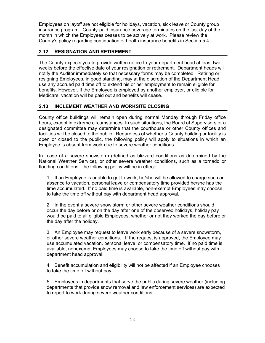Employees on layoff are not eligible for holidays, vacation, sick leave or County group insurance program. County-paid insurance coverage terminates on the last day of the month in which the Employees ceases to be actively at work. Please review the County's policy regarding continuation of health insurance benefits in Section 5.4

## **2.12 RESIGNATION AND RETIREMENT**

The County expects you to provide written notice to your department head at least two weeks before the effective date of your resignation or retirement. Department heads will notify the Auditor immediately so that necessary forms may be completed. Retiring or resigning Employees, in good standing, may at the discretion of the Department Head use any accrued paid time off to extend his or her employment to remain eligible for benefits. However, if the Employee is employed by another employer, or eligible for Medicare, vacation will be paid out and benefits will cease.

## **2.13 INCLEMENT WEATHER AND WORKSITE CLOSING**

County office buildings will remain open during normal Monday through Friday office hours, except in extreme circumstances. In such situations, the Board of Supervisors or a designated committee may determine that the courthouse or other County offices and facilities will be closed to the public. Regardless of whether a County building or facility is open or closed to the public, the following policy will apply to situations in which an Employee is absent from work due to severe weather conditions.

In case of a severe snowstorm (defined as blizzard conditions as determined by the National Weather Service), or other severe weather conditions, such as a tornado or flooding conditions, the following policy will be in effect:

1. If an Employee is unable to get to work, he/she will be allowed to charge such an absence to vacation, personal leave or compensatory time provided he/she has the time accumulated. If no paid time is available, non-exempt Employees may choose to take the time off without pay with department head approval.

2. In the event a severe snow storm or other severe weather conditions should occur the day before or on the day after one of the observed holidays, holiday pay would be paid to all eligible Employees, whether or not they worked the day before or the day after the holiday.

 3. An Employee may request to leave work early because of a severe snowstorm, or other severe weather conditions. If the request is approved, the Employee may use accumulated vacation, personal leave, or compensatory time. If no paid time is available, nonexempt Employees may choose to take the time off without pay with department head approval.

 4. Benefit accumulation and eligibility will not be affected if an Employee chooses to take the time off without pay.

 5. Employees in departments that serve the public during severe weather (including departments that provide snow removal and law enforcement services) are expected to report to work during severe weather conditions.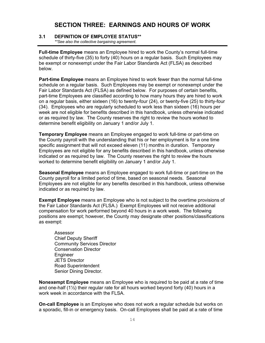# **SECTION THREE: EARNINGS AND HOURS OF WORK**

#### **3.1 DEFINITION OF EMPLOYEE STATUS\*\***

*\*\*See also the collective bargaining agreement.* 

**Full-time Employee** means an Employee hired to work the County's normal full-time schedule of thirty-five (35) to forty (40) hours on a regular basis. Such Employees may be exempt or nonexempt under the Fair Labor Standards Act (FLSA) as described below.

**Part-time Employee** means an Employee hired to work fewer than the normal full-time schedule on a regular basis. Such Employees may be exempt or nonexempt under the Fair Labor Standards Act (FLSA) as defined below. For purposes of certain benefits, part-time Employees are classified according to how many hours they are hired to work on a regular basis, either sixteen (16) to twenty-four (24), or twenty-five (25) to thirty-four (34). Employees who are regularly scheduled to work less than sixteen (16) hours per week are not eligible for benefits described in this handbook, unless otherwise indicated or as required by law. The County reserves the right to review the hours worked to determine benefit eligibility on January 1 and/or July 1.

**Temporary Employee** means an Employee engaged to work full-time or part-time on the County payroll with the understanding that his or her employment is for a one time specific assignment that will not exceed eleven (11) months in duration. Temporary Employees are not eligible for any benefits described in this handbook, unless otherwise indicated or as required by law. The County reserves the right to review the hours worked to determine benefit eligibility on January 1 and/or July 1.

**Seasonal Employee** means an Employee engaged to work full-time or part-time on the County payroll for a limited period of time, based on seasonal needs. Seasonal Employees are not eligible for any benefits described in this handbook, unless otherwise indicated or as required by law.

**Exempt Employee** means an Employee who is not subject to the overtime provisions of the Fair Labor Standards Act (FLSA.) Exempt Employees will not receive additional compensation for work performed beyond 40 hours in a work week. The following positions are exempt; however, the County may designate other positions/classifications as exempt:

 Assessor Chief Deputy Sheriff Community Services Director Conservation Director Engineer JETS Director Road Superintendent Senior Dining Director.

**Nonexempt Employee** means an Employee who is required to be paid at a rate of time and one-half  $(1\frac{1}{2})$  their regular rate for all hours worked beyond forty (40) hours in a work week in accordance with the FLSA.

**On-call Employee** is an Employee who does not work a regular schedule but works on a sporadic, fill-in or emergency basis. On-call Employees shall be paid at a rate of time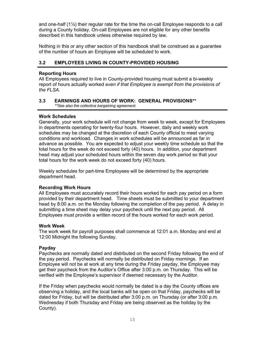and one-half (1½) their regular rate for the time the on-call Employee responds to a call during a County holiday. On-call Employees are not eligible for any other benefits described in this handbook unless otherwise required by law.

Nothing in this or any other section of this handbook shall be construed as a guarantee of the number of hours an Employee will be scheduled to work.

## **3.2 EMPLOYEES LIVING IN COUNTY-PROVIDED HOUSING**

#### **Reporting Hours**

All Employees required to live in County-provided housing must submit a bi-weekly report of hours actually worked *even if that Employee is exempt from the provisions of the FLSA.*

#### **3.3 EARNINGS AND HOURS OF WORK: GENERAL PROVISIONS\*\***   *\*\*See also the collective bargaining agreement.*

#### **Work Schedules**

Generally, your work schedule will not change from week to week, except for Employees in departments operating for twenty-four hours. However, daily and weekly work schedules may be changed at the discretion of each County official to meet varying conditions and workload. Changes in work schedules will be announced as far in advance as possible. You are expected to adjust your weekly time schedule so that the total hours for the week do not exceed forty (40) hours. In addition, your department head may adjust your scheduled hours within the seven day work period so that your total hours for the work week do not exceed forty (40) hours.

Weekly schedules for part-time Employees will be determined by the appropriate department head.

## **Recording Work Hours**

All Employees must accurately record their hours worked for each pay period on a form provided by their department head. Time sheets must be submitted to your department head by 8:00 a.m. on the Monday following the completion of the pay period. A delay in submitting a time sheet may delay your paycheck until the next pay period. All Employees must provide a written record of the hours worked for each work period.

#### **Work Week**

The work week for payroll purposes shall commence at 12:01 a.m. Monday and end at 12:00 Midnight the following Sunday.

#### **Payday**

Paychecks are normally dated and distributed on the second Friday following the end of the pay period. Paychecks will normally be distributed on Friday mornings. If an Employee will not be at work at any time during the Friday payday, the Employee may get their paycheck from the Auditor's Office after 3:00 p.m. on Thursday. This will be verified with the Employee's supervisor if deemed necessary by the Auditor.

If the Friday when paychecks would normally be dated is a day the County offices are observing a holiday, and the local banks will be open on that Friday, paychecks will be dated for Friday, but will be distributed after 3:00 p.m. on Thursday (or after 3:00 p.m. Wednesday if both Thursday and Friday are being observed as the holiday by the County).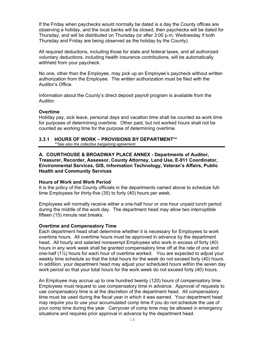If the Friday when paychecks would normally be dated is a day the County offices are observing a holiday, and the local banks will be closed, then paychecks will be dated for Thursday, and will be distributed on Thursday (or after 3:00 p.m. Wednesday if both Thursday and Friday are being observed as the holiday by the County).

All required deductions, including those for state and federal taxes, and all authorized voluntary deductions, including health insurance contributions, will be automatically withheld from your paycheck.

No one, other than the Employee, may pick up an Employee's paycheck without written authorization from the Employee. The written authorization must be filed with the Auditor's Office.

Information about the County's direct deposit payroll program is available from the Auditor.

#### **Overtime**

Holiday pay, sick leave, personal days and vacation time shall be counted as work time for purposes of determining overtime. Other paid, but not worked hours shall not be counted as working time for the purpose of determining overtime.

# **3.3.1 HOURS OF WORK – PROVISIONS BY DEPARTMENT\*\***

*\*\*See also the collective bargaining agreement.*

**A. COURTHOUSE & BROADWAY PLACE ANNEX - Departments of Auditor, Treasurer, Recorder, Assessor, County Attorney, Land Use, E-911 Coordinator, Environmental Services, GIS, Information Technology, Veteran's Affairs, Public Health and Community Services** 

#### **Hours of Work and Work Period**

It is the policy of the County officials in the departments named above to schedule fulltime Employees for thirty-five (35) to forty (40) hours per week.

Employees will normally receive either a one-half hour or one hour unpaid lunch period during the middle of the work day. The department head may allow two interruptible fifteen (15) minute rest breaks.

## **Overtime and Compensatory Time**

Each department head shall determine whether it is necessary for Employees to work overtime hours. All overtime hours must be approved in advance by the department head. All hourly and salaried nonexempt Employees who work in excess of forty (40) hours in any work week shall be granted compensatory time off at the rate of one and one-half (1½) hours for each hour of overtime worked. You are expected to adjust your weekly time schedule so that the total hours for the week do not exceed forty (40) hours. In addition, your department head may adjust your scheduled hours within the seven day work period so that your total hours for the work week do not exceed forty (40) hours.

An Employee may accrue up to one hundred twenty (120) hours of compensatory time. Employees must request to use compensatory time in advance. Approval of requests to use compensatory time is at the discretion of the department head. All compensatory time must be used during the fiscal year in which it was earned. Your department head may require you to use your accumulated comp time if you do not schedule the use of your comp time during the year. Carryover of comp time may be allowed in emergency situations and requires prior approval in advance by the department head.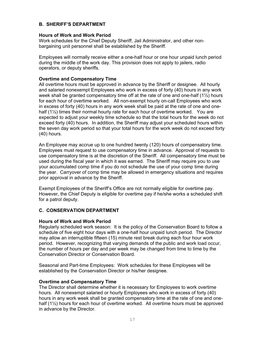## **B. SHERIFF'S DEPARTMENT**

#### **Hours of Work and Work Period**

Work schedules for the Chief Deputy Sheriff, Jail Administrator, and other nonbargaining unit personnel shall be established by the Sheriff.

Employees will normally receive either a one-half hour or one hour unpaid lunch period during the middle of the work day. This provision does not apply to jailers, radio operators, or deputy sheriffs.

#### **Overtime and Compensatory Time**

All overtime hours must be approved in advance by the Sheriff or designee. All hourly and salaried nonexempt Employees who work in excess of forty (40) hours in any work week shall be granted compensatory time off at the rate of one and one-half  $(1/2)$  hours for each hour of overtime worked. All non-exempt hourly on-call Employees who work in excess of forty (40) hours in any work week shall be paid at the rate of one and onehalf (1<sup>1</sup>/<sub>2</sub>) times their normal hourly rate for each hour of overtime worked. You are expected to adjust your weekly time schedule so that the total hours for the week do not exceed forty (40) hours. In addition, the Sheriff may adjust your scheduled hours within the seven day work period so that your total hours for the work week do not exceed forty (40) hours.

An Employee may accrue up to one hundred twenty (120) hours of compensatory time. Employees must request to use compensatory time in advance. Approval of requests to use compensatory time is at the discretion of the Sheriff. All compensatory time must be used during the fiscal year in which it was earned. The Sheriff may require you to use your accumulated comp time if you do not schedule the use of your comp time during the year. Carryover of comp time may be allowed in emergency situations and requires prior approval in advance by the Sheriff.

Exempt Employees of the Sheriff's Office are not normally eligible for overtime pay. However, the Chief Deputy is eligible for overtime pay if he/she works a scheduled shift for a patrol deputy.

## **C. CONSERVATION DEPARTMENT**

## **Hours of Work and Work Period**

Regularly scheduled work season: It is the policy of the Conservation Board to follow a schedule of five eight hour days with a one-half hour unpaid lunch period. The Director may allow an interruptible fifteen (15) minute rest break during each four hour work period. However, recognizing that varying demands of the public and work load occur, the number of hours per day and per week may be changed from time to time by the Conservation Director or Conservation Board.

Seasonal and Part-time Employees: Work schedules for these Employees will be established by the Conservation Director or his/her designee.

#### **Overtime and Compensatory Time**

The Director shall determine whether it is necessary for Employees to work overtime hours. All nonexempt salaried or hourly Employees who work in excess of forty (40) hours in any work week shall be granted compensatory time at the rate of one and onehalf (1½) hours for each hour of overtime worked. All overtime hours must be approved in advance by the Director.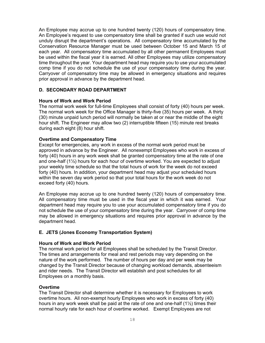An Employee may accrue up to one hundred twenty (120) hours of compensatory time. An Employee's request to use compensatory time shall be granted if such use would not unduly disrupt the department's operations. All compensatory time accumulated by the Conservation Resource Manager must be used between October 15 and March 15 of each year. All compensatory time accumulated by all other permanent Employees must be used within the fiscal year it is earned. All other Employees may utilize compensatory time throughout the year. Your department head may require you to use your accumulated comp time if you do not schedule the use of your compensatory time during the year. Carryover of compensatory time may be allowed in emergency situations and requires prior approval in advance by the department head.

## **D. SECONDARY ROAD DEPARTMENT**

## **Hours of Work and Work Period**

The normal work week for full-time Employees shall consist of forty (40) hours per week. The normal work week for the Office Manager is thirty-five (35) hours per week. A thirty (30) minute unpaid lunch period will normally be taken at or near the middle of the eight hour shift. The Engineer may allow two (2) interruptible fifteen (15) minute rest breaks during each eight (8) hour shift.

## **Overtime and Compensatory Time**

Except for emergencies, any work in excess of the normal work period must be approved in advance by the Engineer. All nonexempt Employees who work in excess of forty (40) hours in any work week shall be granted compensatory time at the rate of one and one-half (1½) hours for each hour of overtime worked. You are expected to adjust your weekly time schedule so that the total hours of work for the week do not exceed forty (40) hours. In addition, your department head may adjust your scheduled hours within the seven day work period so that your total hours for the work week do not exceed forty (40) hours.

An Employee may accrue up to one hundred twenty (120) hours of compensatory time. All compensatory time must be used in the fiscal year in which it was earned. Your department head may require you to use your accumulated compensatory time if you do not schedule the use of your compensatory time during the year. Carryover of comp time may be allowed in emergency situations and requires prior approval in advance by the department head.

## **E. JETS (Jones Economy Transportation System)**

#### **Hours of Work and Work Period**

The normal work period for all Employees shall be scheduled by the Transit Director. The times and arrangements for meal and rest periods may vary depending on the nature of the work performed. The number of hours per day and per week may be changed by the Transit Director because of changing workload demands, absenteeism and rider needs. The Transit Director will establish and post schedules for all Employees on a monthly basis.

#### **Overtime**

The Transit Director shall determine whether it is necessary for Employees to work overtime hours. All non-exempt hourly Employees who work in excess of forty (40) hours in any work week shall be paid at the rate of one and one-half (1½) times their normal hourly rate for each hour of overtime worked. Exempt Employees are not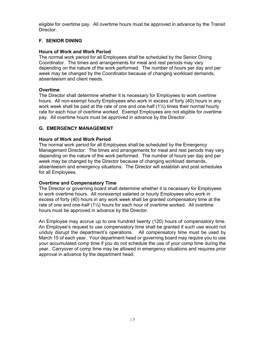eligible for overtime pay. All overtime hours must be approved in advance by the Transit Director.

## **F. SENIOR DINING**

#### **Hours of Work and Work Period**

The normal work period for all Employees shall be scheduled by the Senior Dining Coordinator. The times and arrangements for meal and rest periods may vary depending on the nature of the work performed. The number of hours per day and per week may be changed by the Coordinator because of changing workload demands, absenteeism and client needs.

## **Overtime**

The Director shall determine whether it is necessary for Employees to work overtime hours. All non-exempt hourly Employees who work in excess of forty (40) hours in any work week shall be paid at the rate of one and one-half  $(1\frac{1}{2})$  times their normal hourly rate for each hour of overtime worked. Exempt Employees are not eligible for overtime pay. All overtime hours must be approved in advance by the Director.

## **G. EMERGENCY MANAGEMENT**

#### **Hours of Work and Work Period**

The normal work period for all Employees shall be scheduled by the Emergency Management Director. The times and arrangements for meal and rest periods may vary depending on the nature of the work performed. The number of hours per day and per week may be changed by the Director because of changing workload demands, absenteeism and emergency situations. The Director will establish and post schedules for all Employees.

## **Overtime and Compensatory Time**

The Director or governing board shall determine whether it is necessary for Employees to work overtime hours. All nonexempt salaried or hourly Employees who work in excess of forty (40) hours in any work week shall be granted compensatory time at the rate of one and one-half (1½) hours for each hour of overtime worked. All overtime hours must be approved in advance by the Director.

An Employee may accrue up to one hundred twenty (120) hours of compensatory time. An Employee's request to use compensatory time shall be granted if such use would not unduly disrupt the department's operations. All compensatory time must be used by March 15 of each year. Your department head or governing board may require you to use your accumulated comp time if you do not schedule the use of your comp time during the year. Carryover of comp time may be allowed in emergency situations and requires prior approval in advance by the department head.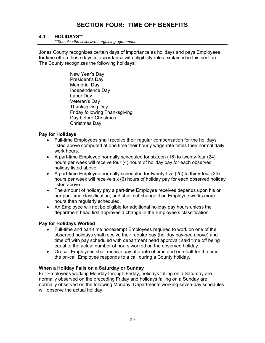# **SECTION FOUR: TIME OFF BENEFITS**

#### **4.1 HOLIDAYS\*\***

 *\*\*See also the collective bargaining agreement.*

Jones County recognizes certain days of importance as holidays and pays Employees for time off on those days in accordance with eligibility rules explained in this section. The County recognizes the following holidays:

> New Year's Day President's Day Memorial Day Independence Day Labor Day Veteran's Day Thanksgiving Day Friday following Thanksgiving Day before Christmas Christmas Day.

## **Pay for Holidays**

- Full-time Employees shall receive their regular compensation for the holidays listed above computed at one time their hourly wage rate times their normal daily work hours.
- A part-time Employee normally scheduled for sixteen (16) to twenty-four (24) hours per week will receive four (4) hours of holiday pay for each observed holiday listed above.
- A part-time Employee normally scheduled for twenty-five (25) to thirty-four (34) hours per week will receive six (6) hours of holiday pay for each observed holiday listed above.
- The amount of holiday pay a part-time Employee receives depends upon his or her part-time classification, and shall not change if an Employee works more hours than regularly scheduled.
- An Employee will not be eligible for additional holiday pay hours unless the department head first approves a change in the Employee's classification.

## **Pay for Holidays Worked**

- Full-time and part-time nonexempt Employees required to work on one of the observed holidays shall receive their regular pay (holiday pay-see above) and time off with pay scheduled with department head approval; said time off being equal to the actual number of hours worked on the observed holiday.
- On-call Employees shall receive pay at a rate of time and one-half for the time the on-call Employee responds to a call during a County holiday.

#### **When a Holiday Falls on a Saturday or Sunday**

For Employees working Monday through Friday, holidays falling on a Saturday are normally observed on the preceding Friday and holidays falling on a Sunday are normally observed on the following Monday. Departments working seven-day schedules will observe the actual holiday.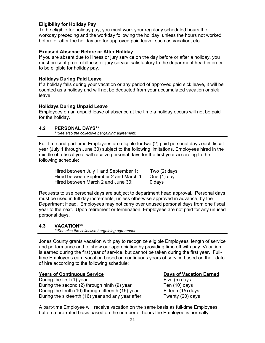## **Eligibility for Holiday Pay**

To be eligible for holiday pay, you must work your regularly scheduled hours the workday preceding and the workday following the holiday, unless the hours not worked before or after the holiday are for approved paid leave, such as vacation, etc.

#### **Excused Absence Before or After Holiday**

If you are absent due to illness or jury service on the day before or after a holiday, you must present proof of illness or jury service satisfactory to the department head in order to be eligible for holiday pay.

#### **Holidays During Paid Leave**

If a holiday falls during your vacation or any period of approved paid sick leave, it will be counted as a holiday and will not be deducted from your accumulated vacation or sick leave.

#### **Holidays During Unpaid Leave**

Employees on an unpaid leave of absence at the time a holiday occurs will not be paid for the holiday.

#### **4.2 PERSONAL DAYS\*\***

*\*\*See also the collective bargaining agreement.*

Full-time and part-time Employees are eligible for two (2) paid personal days each fiscal year (July 1 through June 30) subject to the following limitations. Employees hired in the middle of a fiscal year will receive personal days for the first year according to the following schedule:

 Hired between July 1 and September 1: Two (2) days Hired between September 2 and March 1: One (1) day Hired between March 2 and June 30: 0 days

Requests to use personal days are subject to department head approval. Personal days must be used in full day increments, unless otherwise approved in advance, by the Department Head. Employees may not carry over unused personal days from one fiscal year to the next. Upon retirement or termination, Employees are not paid for any unused personal days.

#### **4.3 VACATION\*\***

 *\*\*See also the collective bargaining agreement.*

Jones County grants vacation with pay to recognize eligible Employees' length of service and performance and to show our appreciation by providing time off with pay. Vacation is earned during the first year of service, but cannot be taken during the first year. Fulltime Employees earn vacation based on continuous years of service based on their date of hire according to the following schedule:

#### **Years of Continuous Service Days of Vacation Earned**

During the first (1) year Five (5) days During the second  $(2)$  through ninth  $(9)$  year Ten  $(10)$  days During the tenth (10) through fifteenth (15) year Fifteen (15) days During the sixteenth (16) year and any year after Twenty (20) days

A part-time Employee will receive vacation on the same basis as full-time Employees, but on a pro-rated basis based on the number of hours the Employee is normally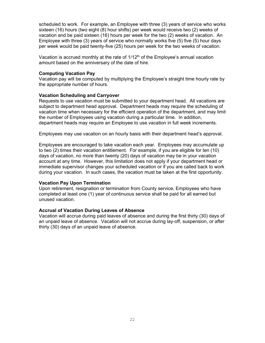scheduled to work. For example, an Employee with three (3) years of service who works sixteen (16) hours (two eight (8) hour shifts) per week would receive two (2) weeks of vacation and be paid sixteen (16) hours per week for the two (2) weeks of vacation. An Employee with three (3) years of service who normally works five (5) five (5) hour days per week would be paid twenty-five (25) hours per week for the two weeks of vacation.

Vacation is accrued monthly at the rate of  $1/12<sup>th</sup>$  of the Employee's annual vacation amount based on the anniversary of the date of hire.

#### **Computing Vacation Pay**

Vacation pay will be computed by multiplying the Employee's straight time hourly rate by the appropriate number of hours.

#### **Vacation Scheduling and Carryover**

Requests to use vacation must be submitted to your department head. All vacations are subject to department head approval. Department heads may require the scheduling of vacation time when necessary for the efficient operation of the department, and may limit the number of Employees using vacation during a particular time. In addition, department heads may require an Employee to use vacation in full week increments.

Employees may use vacation on an hourly basis with their department head's approval.

Employees are encouraged to take vacation each year. Employees may accumulate up to two (2) times their vacation entitlement. For example, if you are eligible for ten (10) days of vacation, no more than twenty (20) days of vacation may be in your vacation account at any time. However, this limitation does not apply if your department head or immediate supervisor changes your scheduled vacation or if you are called back to work during your vacation. In such cases, the vacation must be taken at the first opportunity.

#### **Vacation Pay Upon Termination**

Upon retirement, resignation or termination from County service, Employees who have completed at least one (1) year of continuous service shall be paid for all earned but unused vacation.

#### **Accrual of Vacation During Leaves of Absence**

Vacation will accrue during paid leaves of absence and during the first thirty (30) days of an unpaid leave of absence. Vacation will not accrue during lay-off, suspension, or after thirty (30) days of an unpaid leave of absence.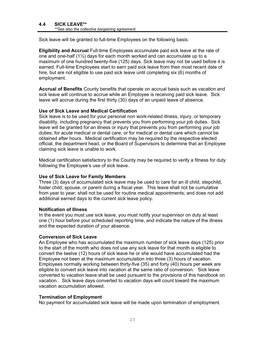#### **4.4 SICK LEAVE\*\***   *\*\*See also the collective bargaining agreement.*

Sick leave will be granted to full-time Employees on the following basis:

**Eligibility and Accrual** Full-time Employees accumulate paid sick leave at the rate of one and one-half  $(1\frac{1}{2})$  days for each month worked and can accumulate up to a maximum of one hundred twenty-five (125) days. Sick leave may not be used before it is earned. Full-time Employees start to earn paid sick leave from their most recent date of hire, but are not eligible to use paid sick leave until completing six (6) months of employment.

**Accrual of Benefits** County benefits that operate on accrual basis such as vacation and sick leave will continue to accrue while an Employee is receiving paid sick leave. Sick leave will accrue during the first thirty (30) days of an unpaid leave of absence.

## **Use of Sick Leave and Medical Certification**

Sick leave is to be used for your personal non work-related illness, injury, or temporary disability, including pregnancy that prevents you from performing your job duties. Sick leave will be granted for an illness or injury that prevents you from performing your job duties; for acute medical or dental care; or for medical or dental care which cannot be obtained after hours. Medical certification may be required by the respective elected official, the department head, or the Board of Supervisors to determine that an Employee claiming sick leave is unable to work.

Medical certification satisfactory to the County may be required to verify a fitness for duty following the Employee's use of sick leave.

## **Use of Sick Leave for Family Members**

Three (3) days of accumulated sick leave may be used to care for an ill child, stepchild, foster child, spouse, or parent during a fiscal year. This leave shall not be cumulative from year to year; shall not be used for routine medical appointments; and does not add additional earned days to the current sick leave policy.

## **Notification of Illness**

In the event you must use sick leave, you must notify your supervisor on duty at least one (1) hour before your scheduled reporting time, and indicate the nature of the illness and the expected duration of your absence.

## **Conversion of Sick Leave**

An Employee who has accumulated the maximum number of sick leave days (125) prior to the start of the month who does not use any sick leave for that month is eligible to convert the twelve (12) hours of sick leave he or she would have accumulated had the Employee not been at the maximum accumulation into three (3) hours of vacation. Employees normally working between thirty-five (35) and forty (40) hours per week are eligible to convert sick leave into vacation at the same ratio of conversion. Sick leave converted to vacation leave shall be used pursuant to the provisions of this handbook on vacation. Sick leave days converted to vacation days will count toward the maximum vacation accumulation allowed.

## **Termination of Employment**

No payment for accumulated sick leave will be made upon termination of employment.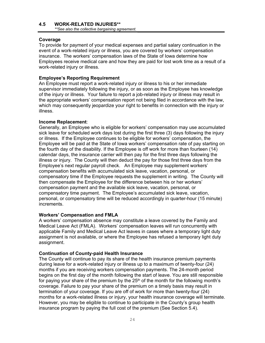#### **4.5 WORK-RELATED INJURIES\*\***   *\*\*See also the collective bargaining agreement.*

#### **Coverage**

To provide for payment of your medical expenses and partial salary continuation in the event of a work-related injury or illness, you are covered by workers' compensation insurance. The workers' compensation laws of the State of Iowa determine how Employees receive medical care and how they are paid for lost work time as a result of a work-related injury or illness.

#### **Employee's Reporting Requirement**

An Employee must report a work-related injury or illness to his or her immediate supervisor immediately following the injury, or as soon as the Employee has knowledge of the injury or illness. Your failure to report a job-related injury or illness may result in the appropriate workers' compensation report not being filed in accordance with the law, which may consequently jeopardize your right to benefits in connection with the injury or illness.

#### **Income Replacement**:

Generally, an Employee who is eligible for workers' compensation may use accumulated sick leave for scheduled work days lost during the first three (3) days following the injury or illness. If the Employee continues to be eligible for workers' compensation, the Employee will be paid at the State of Iowa workers' compensation rate of pay starting on the fourth day of the disability. If the Employee is off work for more than fourteen (14) calendar days, the insurance carrier will then pay for the first three days following the illness or injury. The County will then deduct the pay for those first three days from the Employee's next regular payroll check. An Employee may supplement workers' compensation benefits with accumulated sick leave, vacation, personal, or compensatory time if the Employee requests the supplement in writing. The County will then compensate the Employee for the difference between his or her workers' compensation payment and the available sick leave, vacation, personal, or compensatory time payment. The Employee's accumulated sick leave, vacation, personal, or compensatory time will be reduced accordingly in quarter-hour (15 minute) increments.

#### **Workers' Compensation and FMLA**

A workers' compensation absence may constitute a leave covered by the Family and Medical Leave Act (FMLA). Workers' compensation leaves will run concurrently with applicable Family and Medical Leave Act leaves in cases where a temporary light duty assignment is not available, or where the Employee has refused a temporary light duty assignment.

#### **Continuation of County-paid Health Insurance**

The County will continue to pay its share of the health insurance premium payments during leave for a work-related injury or illness up to a maximum of twenty-four (24) months if you are receiving workers compensation payments. The 24-month period begins on the first day of the month following the start of leave. You are still responsible for paying your share of the premium by the  $25<sup>th</sup>$  of the month for the following month's coverage. Failure to pay your share of the premium on a timely basis may result in termination of your coverage. If you are off of work for more than twenty-four (24) months for a work-related illness or injury, your health insurance coverage will terminate. However, you may be eligible to continue to participate in the County's group health insurance program by paying the full cost of the premium (See Section 5.4).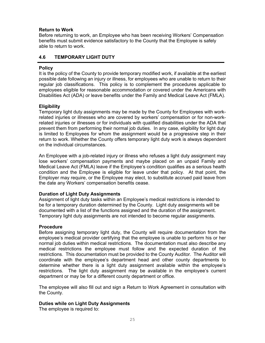#### **Return to Work**

Before returning to work, an Employee who has been receiving Workers' Compensation benefits must submit evidence satisfactory to the County that the Employee is safely able to return to work.

## **4.6 TEMPORARY LIGHT DUTY**

#### **Policy**

It is the policy of the County to provide temporary modified work, if available at the earliest possible date following an injury or illness, for employees who are unable to return to their regular job classifications. This policy is to complement the procedures applicable to employees eligible for reasonable accommodation or covered under the Americans with Disabilities Act (ADA) or leave benefits under the Family and Medical Leave Act (FMLA).

#### **Eligibility**

Temporary light duty assignments may be made by the County for Employees with workrelated injuries or illnesses who are covered by workers' compensation or for non-workrelated injuries or illnesses or for individuals with qualified disabilities under the ADA that prevent them from performing their normal job duties. In any case, eligibility for light duty is limited to Employees for whom the assignment would be a progressive step in their return to work. Whether the County offers temporary light duty work is always dependent on the individual circumstances.

An Employee with a job-related injury or illness who refuses a light duty assignment may lose workers' compensation payments and maybe placed on an unpaid Family and Medical Leave Act (FMLA) leave if the Employee's condition qualifies as a serious health condition and the Employee is eligible for leave under that policy. At that point, the Employer may require, or the Employee may elect, to substitute accrued paid leave from the date any Workers' compensation benefits cease.

#### **Duration of Light Duty Assignments**

Assignment of light duty tasks within an Employee's medical restrictions is intended to be for a temporary duration determined by the County. Light duty assignments will be documented with a list of the functions assigned and the duration of the assignment. Temporary light duty assignments are not intended to become regular assignments.

#### **Procedure**

Before assigning temporary light duty, the County will require documentation from the employee's medical provider certifying that the employee is unable to perform his or her normal job duties within medical restrictions. The documentation must also describe any medical restrictions the employee must follow and the expected duration of the restrictions. This documentation must be provided to the County Auditor. The Auditor will coordinate with the employee's department head and other county departments to determine whether there is a light duty assignment available within the employee's restrictions. The light duty assignment may be available in the employee's current department or may be for a different county department or office.

The employee will also fill out and sign a Return to Work Agreement in consultation with the County.

#### **Duties while on Light Duty Assignments**

The employee is required to: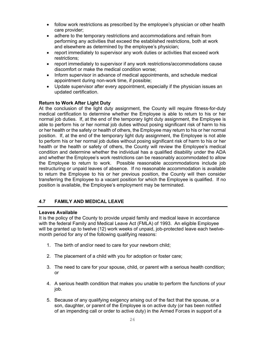- follow work restrictions as prescribed by the employee's physician or other health care provider;
- adhere to the temporary restrictions and accommodations and refrain from performing any activities that exceed the established restrictions, both at work and elsewhere as determined by the employee's physician;
- report immediately to supervisor any work duties or activities that exceed work restrictions;
- report immediately to supervisor if any work restrictions/accommodations cause discomfort or make the medical condition worse;
- Inform supervisor in advance of medical appointments, and schedule medical appointment during non-work time, if possible;
- Update supervisor after every appointment, especially if the physician issues an updated certification.

## **Return to Work After Light Duty**

At the conclusion of the light duty assignment, the County will require fitness-for-duty medical certification to determine whether the Employee is able to return to his or her normal job duties. If, at the end of the temporary light duty assignment, the Employee is able to perform his or her normal job duties without posing significant risk of harm to his or her health or the safety or health of others, the Employee may return to his or her normal position. If, at the end of the temporary light duty assignment, the Employee is not able to perform his or her normal job duties without posing significant risk of harm to his or her health or the health or safety of others, the County will review the Employee's medical condition and determine whether the individual has a qualified disability under the ADA and whether the Employee's work restrictions can be reasonably accommodated to allow the Employee to return to work. Possible reasonable accommodations include job restructuring or unpaid leaves of absence. If no reasonable accommodation is available to return the Employee to his or her previous position, the County will then consider transferring the Employee to a vacant position for which the Employee is qualified. If no position is available, the Employee's employment may be terminated.

## **4.7 FAMILY AND MEDICAL LEAVE**

## **Leaves Available**

It is the policy of the County to provide unpaid family and medical leave in accordance with the federal Family and Medical Leave Act (FMLA) of 1993. An eligible Employee will be granted up to twelve (12) work weeks of unpaid, job-protected leave each twelvemonth period for any of the following qualifying reasons:

- 1. The birth of and/or need to care for your newborn child;
- 2. The placement of a child with you for adoption or foster care;
- 3. The need to care for your spouse, child, or parent with a serious health condition; or
- 4. A serious health condition that makes you unable to perform the functions of your job.
- 5. Because of any qualifying exigency arising out of the fact that the spouse, or a son, daughter, or parent of the Employee is on active duty (or has been notified of an impending call or order to active duty) in the Armed Forces in support of a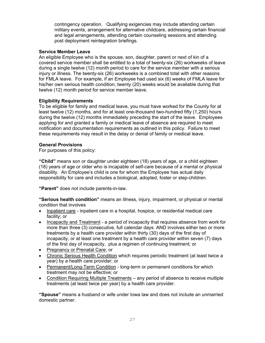contingency operation. Qualifying exigencies may include attending certain military events, arrangement for alternative childcare, addressing certain financial and legal arrangements, attending certain counseling sessions and attending post deployment reintegration briefings.

## **Service Member Leave**

An eligible Employee who is the spouse, son, daughter, parent or next of kin of a covered service member shall be entitled to a total of twenty-six (26) workweeks of leave during a single twelve (12) month period to care for the service member with a serious injury or illness. The twenty-six (26) workweeks is a combined total with other reasons for FMLA leave. For example, if an Employee had used six (6) weeks of FMLA leave for his/her own serious health condition, twenty (20) weeks would be available during that twelve (12) month period for service member leave.

## **Eligibility Requirements**

To be eligible for family and medical leave, you must have worked for the County for at least twelve (12) months, and for at least one-thousand two-hundred fifty (1,250) hours during the twelve (12) months immediately preceding the start of the leave. Employees applying for and granted a family or medical leave of absence are required to meet notification and documentation requirements as outlined in this policy. Failure to meet these requirements may result in the delay or denial of family or medical leave.

## **General Provisions**

For purposes of this policy:

**"Child"** means son or daughter under eighteen (18) years of age, or a child eighteen (18) years of age or older who is incapable of self-care because of a mental or physical disability. An Employee's child is one for whom the Employee has actual daily responsibility for care and includes a biological, adopted, foster or step-children.

**"Parent"** does not include parents-in-law.

**"Serious health condition"** means an illness, injury, impairment, or physical or mental condition that involves

- Inpatient care inpatient care in a hospital, hospice, or residential medical care facility; or
- Incapacity and Treatment a period of incapacity that requires absence from work for more than three (3) consecutive, full calendar days AND involves either two or more treatments by a health care provider within thirty (30) days of the first day of incapacity, or at least one treatment by a health care provider within seven (7) days of the first day of incapacity, plus a regimen of continuing treatment; or
- Pregnancy or Prenatal Care; or
- Chronic Serious Health Condition which requires periodic treatment (at least twice a year) by a health care provider; or
- Permanent/Long-Term Condition long-term or permanent conditions for which treatment may not be effective; or
- Condition Requiring Multiple Treatments any period of absence to receive multiple treatments (at least twice per year) by a health care provider.

**"Spouse"** means a husband or wife under Iowa law and does not include an unmarried domestic partner.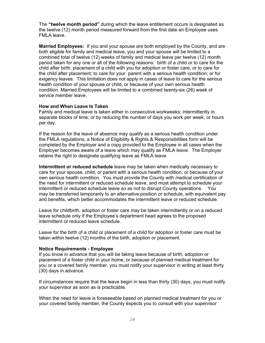The **"twelve month period"** during which the leave entitlement occurs is designated as the twelve (12) month period measured forward from the first date an Employee uses FMLA leave.

**Married Employees:** If you and your spouse are both employed by the County, and are both eligible for family and medical leave, you and your spouse will be limited to a combined total of twelve (12) weeks of family and medical leave per twelve (12) month period taken for any one or all of the following reasons: birth of a child or to care for the child after birth; placement of a child with you for adoption or foster care, or to care for the child after placement; to care for your parent with a serious health condition; or for exigency leaves. This limitation does not apply in cases of leave to care for the serious health condition of your spouse or child, or because of your own serious health condition. Married Employees will be limited to a combined twenty-six (26) week of service member leave.

#### **How and When Leave Is Taken**

Family and medical leave is taken either in consecutive workweeks; intermittently in separate blocks of time; or by reducing the number of days you work per week, or hours per day.

If the reason for the leave of absence may qualify as a serious health condition under the FMLA regulations, a Notice of Eligibility & Rights & Responsibilities form will be completed by the Employer and a copy provided to the Employee in all cases when the Employer becomes aware of a leave which may qualify as FMLA leave. The Employer retains the right to designate qualifying leave as FMLA leave.

**Intermittent or reduced schedule** leave may be taken when medically necessary to care for your spouse, child, or parent with a serious health condition, or because of your own serious health condition. You must provide the County with medical certification of the need for intermittent or reduced schedule leave, and must attempt to schedule your intermittent or reduced schedule leave so as not to disrupt County operations. You may be transferred temporarily to an alternative position or schedule, with equivalent pay and benefits, which better accommodates the intermittent leave or reduced schedule.

Leave for childbirth, adoption or foster care may be taken intermittently or on a reduced leave schedule only if the Employee's department head agrees to the proposed intermittent or reduced leave schedule.

Leave for the birth of a child or placement of a child for adoption or foster care must be taken within twelve (12) months of the birth, adoption or placement.

#### **Notice Requirements - Employee**

If you know in advance that you will be taking leave because of birth, adoption or placement of a foster child in your home, or because of planned medical treatment for you or a covered family member, you must notify your supervisor in writing at least thirty (30) days in advance.

If circumstances require that the leave begin in less than thirty (30) days, you must notify your supervisor as soon as is practicable.

When the need for leave is foreseeable based on planned medical treatment for you or your covered family member, the County expects you to consult with your supervisor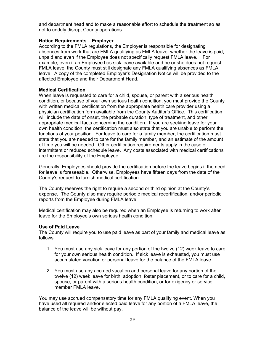and department head and to make a reasonable effort to schedule the treatment so as not to unduly disrupt County operations.

#### **Notice Requirements – Employer**

According to the FMLA regulations, the Employer is responsible for designating absences from work that are FMLA qualifying as FMLA leave, whether the leave is paid, unpaid and even if the Employee does not specifically request FMLA leave. For example, even if an Employee has sick leave available and he or she does not request FMLA leave, the County must still designate any FMLA qualifying absences as FMLA leave. A copy of the completed Employer's Designation Notice will be provided to the affected Employee and their Department Head.

#### **Medical Certification**

When leave is requested to care for a child, spouse, or parent with a serious health condition, or because of your own serious health condition, you must provide the County with written medical certification from the appropriate health care provider using a physician certification form available from the County Auditor's Office. This certification will include the date of onset, the probable duration, type of treatment, and other appropriate medical facts concerning the condition. If you are seeking leave for your own health condition, the certification must also state that you are unable to perform the functions of your position. For leave to care for a family member, the certification must state that you are needed to care for the family member, and an estimate of the amount of time you will be needed. Other certification requirements apply in the case of intermittent or reduced schedule leave. Any costs associated with medical certifications are the responsibility of the Employee.

Generally, Employees should provide the certification before the leave begins if the need for leave is foreseeable. Otherwise, Employees have fifteen days from the date of the County's request to furnish medical certification.

The County reserves the right to require a second or third opinion at the County's expense. The County also may require periodic medical recertification, and/or periodic reports from the Employee during FMLA leave.

Medical certification may also be required when an Employee is returning to work after leave for the Employee's own serious health condition.

#### **Use of Paid Leave**

The County will require you to use paid leave as part of your family and medical leave as follows:

- 1. You must use any sick leave for any portion of the twelve (12) week leave to care for your own serious health condition. If sick leave is exhausted, you must use accumulated vacation or personal leave for the balance of the FMLA leave.
- 2. You must use any accrued vacation and personal leave for any portion of the twelve (12) week leave for birth, adoption, foster placement, or to care for a child, spouse, or parent with a serious health condition, or for exigency or service member FMLA leave.

You may use accrued compensatory time for any FMLA qualifying event. When you have used all required and/or elected paid leave for any portion of a FMLA leave, the balance of the leave will be without pay.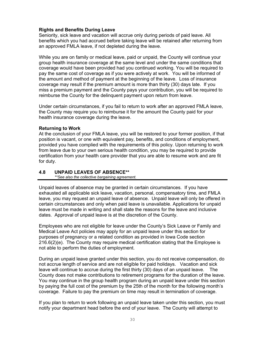#### **Rights and Benefits During Leave**

Seniority, sick leave and vacation will accrue only during periods of paid leave. All benefits which you had accrued before taking leave will be retained after returning from an approved FMLA leave, if not depleted during the leave.

While you are on family or medical leave, paid or unpaid, the County will continue your group health insurance coverage at the same level and under the same conditions that coverage would have been provided had you continued working. You will be required to pay the same cost of coverage as if you were actively at work. You will be informed of the amount and method of payment at the beginning of the leave. Loss of insurance coverage may result if the premium amount is more than thirty (30) days late. If you miss a premium payment and the County pays your contribution, you will be required to reimburse the County for the delinquent payment upon return from leave.

Under certain circumstances, if you fail to return to work after an approved FMLA leave, the County may require you to reimburse it for the amount the County paid for your health insurance coverage during the leave.

#### **Returning to Work**

At the conclusion of your FMLA leave, you will be restored to your former position, if that position is vacant, or one with equivalent pay, benefits, and conditions of employment, provided you have complied with the requirements of this policy. Upon returning to work from leave due to your own serious health condition, you may be required to provide certification from your health care provider that you are able to resume work and are fit for duty.

## **4.8 UNPAID LEAVES OF ABSENCE\*\***

*\*\*See also the collective bargaining agreement.* 

Unpaid leaves of absence may be granted in certain circumstances. If you have exhausted all applicable sick leave, vacation, personal, compensatory time, and FMLA leave, you may request an unpaid leave of absence. Unpaid leave will only be offered in certain circumstances and only when paid leave is unavailable. Applications for unpaid leave must be made in writing and shall state the reasons for the leave and inclusive dates. Approval of unpaid leave is at the discretion of the County.

Employees who are not eligible for leave under the County's Sick Leave or Family and Medical Leave Act policies may apply for an unpaid leave under this section for purposes of pregnancy or a related condition as provided in Iowa Code section 216.6(2)(e). The County may require medical certification stating that the Employee is not able to perform the duties of employment.

During an unpaid leave granted under this section, you do not receive compensation, do not accrue length of service and are not eligible for paid holidays. Vacation and sick leave will continue to accrue during the first thirty (30) days of an unpaid leave. The County does not make contributions to retirement programs for the duration of the leave. You may continue in the group health program during an unpaid leave under this section by paying the full cost of the premium by the 25th of the month for the following month's coverage. Failure to pay the premium on time may result in termination of coverage.

If you plan to return to work following an unpaid leave taken under this section, you must notify your department head before the end of your leave. The County will attempt to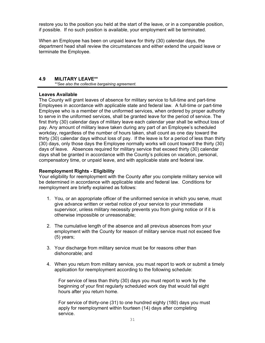restore you to the position you held at the start of the leave, or in a comparable position, if possible. If no such position is available, your employment will be terminated.

When an Employee has been on unpaid leave for thirty (30) calendar days, the department head shall review the circumstances and either extend the unpaid leave or terminate the Employee.

#### **4.9 MILITARY LEAVE\*\***

*\*\*See also the collective bargaining agreement.*

#### **Leaves Available**

The County will grant leaves of absence for military service to full-time and part-time Employees in accordance with applicable state and federal law. A full-time or part-time Employee who is a member of the uniformed services, when ordered by proper authority to serve in the uniformed services, shall be granted leave for the period of service. The first thirty (30) calendar days of military leave each calendar year shall be without loss of pay. Any amount of military leave taken during any part of an Employee's scheduled workday, regardless of the number of hours taken, shall count as one day toward the thirty (30) calendar days without loss of pay. If the leave is for a period of less than thirty (30) days, only those days the Employee normally works will count toward the thirty (30) days of leave. Absences required for military service that exceed thirty (30) calendar days shall be granted in accordance with the County's policies on vacation, personal, compensatory time, or unpaid leave, and with applicable state and federal law.

#### **Reemployment Rights - Eligibility**

Your eligibility for reemployment with the County after you complete military service will be determined in accordance with applicable state and federal law. Conditions for reemployment are briefly explained as follows:

- 1. You, or an appropriate officer of the uniformed service in which you serve, must give advance written or verbal notice of your service to your immediate supervisor, unless military necessity prevents you from giving notice or if it is otherwise impossible or unreasonable;
- 2. The cumulative length of the absence and all previous absences from your employment with the County for reason of military service must not exceed five (5) years;
- 3. Your discharge from military service must be for reasons other than dishonorable; and
- 4. When you return from military service, you must report to work or submit a timely application for reemployment according to the following schedule:

For service of less than thirty (30) days you must report to work by the beginning of your first regularly scheduled work day that would fall eight hours after you return home.

For service of thirty-one (31) to one hundred eighty (180) days you must apply for reemployment within fourteen (14) days after completing service.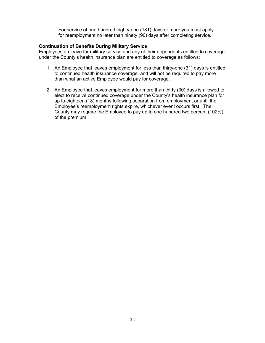For service of one hundred eighty-one (181) days or more you must apply for reemployment no later than ninety (90) days after completing service.

#### **Continuation of Benefits During Military Service**

Employees on leave for military service and any of their dependents entitled to coverage under the County's health insurance plan are entitled to coverage as follows:

- 1. An Employee that leaves employment for less than thirty-one (31) days is entitled to continued health insurance coverage, and will not be required to pay more than what an active Employee would pay for coverage.
- 2. An Employee that leaves employment for more than thirty (30) days is allowed to elect to receive continued coverage under the County's health insurance plan for up to eighteen (18) months following separation from employment or until the Employee's reemployment rights expire, whichever event occurs first. The County may require the Employee to pay up to one hundred two percent (102%) of the premium.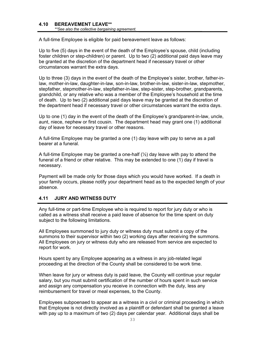# **4.10 BEREAVEMENT LEAVE\*\***

*\*\*See also the collective bargaining agreement.* 

A full-time Employee is eligible for paid bereavement leave as follows:

Up to five (5) days in the event of the death of the Employee's spouse, child (including foster children or step-children) or parent. Up to two (2) additional paid days leave may be granted at the discretion of the department head if necessary travel or other circumstances warrant the extra days.

Up to three (3) days in the event of the death of the Employee's sister, brother, father-inlaw, mother-in-law, daughter-in-law, son-in-law, brother-in-law, sister-in-law, stepmother, stepfather, stepmother-in-law, stepfather-in-law, step-sister, step-brother, grandparents, grandchild, or any relative who was a member of the Employee's household at the time of death. Up to two (2) additional paid days leave may be granted at the discretion of the department head if necessary travel or other circumstances warrant the extra days.

Up to one (1) day in the event of the death of the Employee's grandparent-in-law, uncle, aunt, niece, nephew or first cousin. The department head may grant one (1) additional day of leave for necessary travel or other reasons.

A full-time Employee may be granted a one (1) day leave with pay to serve as a pall bearer at a funeral.

A full-time Employee may be granted a one-half  $(\frac{1}{2})$  day leave with pay to attend the funeral of a friend or other relative. This may be extended to one (1) day if travel is necessary.

Payment will be made only for those days which you would have worked. If a death in your family occurs, please notify your department head as to the expected length of your absence.

## **4.11 JURY AND WITNESS DUTY**

Any full-time or part-time Employee who is required to report for jury duty or who is called as a witness shall receive a paid leave of absence for the time spent on duty subject to the following limitations.

All Employees summoned to jury duty or witness duty must submit a copy of the summons to their supervisor within two (2) working days after receiving the summons. All Employees on jury or witness duty who are released from service are expected to report for work.

Hours spent by any Employee appearing as a witness in any job-related legal proceeding at the direction of the County shall be considered to be work time.

When leave for jury or witness duty is paid leave, the County will continue your regular salary, but you must submit certification of the number of hours spent in such service and assign any compensation you receive in connection with the duty, less any reimbursement for travel or meal expenses, to the County.

Employees subpoenaed to appear as a witness in a civil or criminal proceeding in which that Employee is not directly involved as a plaintiff or defendant shall be granted a leave with pay up to a maximum of two (2) days per calendar year. Additional days shall be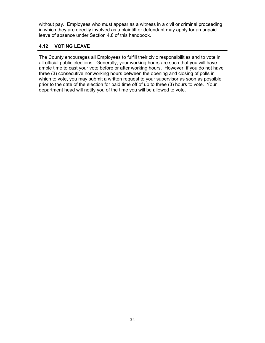without pay. Employees who must appear as a witness in a civil or criminal proceeding in which they are directly involved as a plaintiff or defendant may apply for an unpaid leave of absence under Section 4.8 of this handbook.

## **4.12 VOTING LEAVE**

The County encourages all Employees to fulfill their civic responsibilities and to vote in all official public elections. Generally, your working hours are such that you will have ample time to cast your vote before or after working hours. However, if you do not have three (3) consecutive nonworking hours between the opening and closing of polls in which to vote, you may submit a written request to your supervisor as soon as possible prior to the date of the election for paid time off of up to three (3) hours to vote. Your department head will notify you of the time you will be allowed to vote.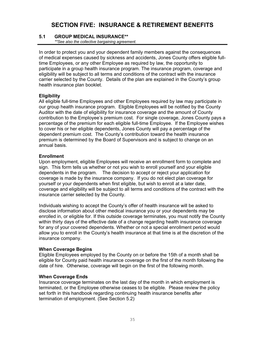# **SECTION FIVE: INSURANCE & RETIREMENT BENEFITS**

#### **5.1 GROUP MEDICAL INSURANCE\*\***

 *\*\*See also the collective bargaining agreement.* 

In order to protect you and your dependent family members against the consequences of medical expenses caused by sickness and accidents, Jones County offers eligible fulltime Employees, or any other Employee as required by law, the opportunity to participate in a group health insurance program. The insurance program, coverage and eligibility will be subject to all terms and conditions of the contract with the insurance carrier selected by the County. Details of the plan are explained in the County's group health insurance plan booklet.

#### **Eligibility**

All eligible full-time Employees and other Employees required by law may participate in our group health insurance program. Eligible Employees will be notified by the County Auditor with the date of eligibility for insurance coverage and the amount of County contribution to the Employee's premium cost. For single coverage, Jones County pays a percentage of the premium for each eligible full-time Employee. If the Employee wishes to cover his or her eligible dependents, Jones County will pay a percentage of the dependent premium cost. The County's contribution toward the health insurance premium is determined by the Board of Supervisors and is subject to change on an annual basis.

#### **Enrollment**

Upon employment, eligible Employees will receive an enrollment form to complete and sign. This form tells us whether or not you wish to enroll yourself and your eligible dependents in the program. The decision to accept or reject your application for coverage is made by the insurance company. If you do not elect plan coverage for yourself or your dependents when first eligible, but wish to enroll at a later date, coverage and eligibility will be subject to all terms and conditions of the contract with the insurance carrier selected by the County.

Individuals wishing to accept the County's offer of health insurance will be asked to disclose information about other medical insurance you or your dependents may be enrolled in, or eligible for. If this outside coverage terminates, you must notify the County within thirty days of the effective date of a change regarding health insurance coverage for any of your covered dependents. Whether or not a special enrollment period would allow you to enroll in the County's health insurance at that time is at the discretion of the insurance company.

## **When Coverage Begins**

Eligible Employees employed by the County on or before the 15th of a month shall be eligible for County paid health insurance coverage on the first of the month following the date of hire. Otherwise, coverage will begin on the first of the following month.

## **When Coverage Ends**

Insurance coverage terminates on the last day of the month in which employment is terminated, or the Employee otherwise ceases to be eligible. Please review the policy set forth in this handbook regarding continuing health insurance benefits after termination of employment. (See Section 5.2)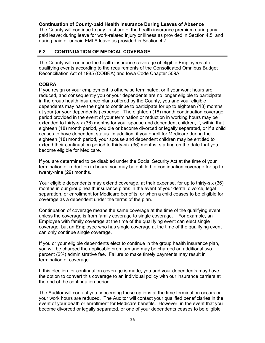## **Continuation of County-paid Health Insurance During Leaves of Absence**

The County will continue to pay its share of the health insurance premium during any paid leave; during leave for work-related injury or illness as provided in Section 4.5; and during paid or unpaid FMLA leave as provided in Section 4.7.

## **5.2 CONTINUATION OF MEDICAL COVERAGE**

The County will continue the health insurance coverage of eligible Employees after qualifying events according to the requirements of the Consolidated Omnibus Budget Reconciliation Act of 1985 (COBRA) and Iowa Code Chapter 509A.

#### **COBRA**

If you resign or your employment is otherwise terminated, or if your work hours are reduced, and consequently you or your dependents are no longer eligible to participate in the group health insurance plans offered by the County, you and your eligible dependents may have the right to continue to participate for up to eighteen (18) months at your (or your dependents') expense. The eighteen (18) month continuation coverage period provided in the event of your termination or reduction in working hours may be extended to thirty-six (36) months for your spouse and dependent children, if, within that eighteen (18) month period, you die or become divorced or legally separated, or if a child ceases to have dependent status. In addition, if you enroll for Medicare during the eighteen (18) month period, your spouse and dependent children may be entitled to extend their continuation period to thirty-six (36) months, starting on the date that you become eligible for Medicare.

If you are determined to be disabled under the Social Security Act at the time of your termination or reduction in hours, you may be entitled to continuation coverage for up to twenty-nine (29) months.

Your eligible dependents may extend coverage, at their expense, for up to thirty-six (36) months in our group health insurance plans in the event of your death, divorce, legal separation, or enrollment for Medicare benefits, or when a child ceases to be eligible for coverage as a dependent under the terms of the plan.

Continuation of coverage means the same coverage at the time of the qualifying event, unless the coverage is from family coverage to single coverage. For example, an Employee with family coverage at the time of the qualifying event can elect single coverage, but an Employee who has single coverage at the time of the qualifying event can only continue single coverage.

If you or your eligible dependents elect to continue in the group health insurance plan, you will be charged the applicable premium and may be charged an additional two percent (2%) administrative fee. Failure to make timely payments may result in termination of coverage.

If this election for continuation coverage is made, you and your dependents may have the option to convert this coverage to an individual policy with our insurance carriers at the end of the continuation period.

The Auditor will contact you concerning these options at the time termination occurs or your work hours are reduced. The Auditor will contact your qualified beneficiaries in the event of your death or enrollment for Medicare benefits. However, in the event that you become divorced or legally separated, or one of your dependents ceases to be eligible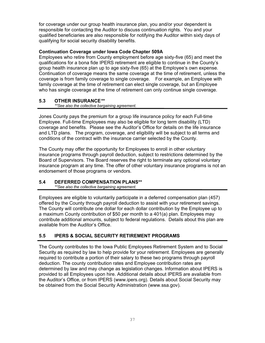for coverage under our group health insurance plan, you and/or your dependent is responsible for contacting the Auditor to discuss continuation rights. You and your qualified beneficiaries are also responsible for notifying the Auditor within sixty days of qualifying for social security disability benefits.

## **Continuation Coverage under Iowa Code Chapter 509A**

Employees who retire from County employment before age sixty-five (65) and meet the qualifications for a bona fide IPERS retirement are eligible to continue in the County's group health insurance plan up to age sixty-five (65) at the Employee's own expense. Continuation of coverage means the same coverage at the time of retirement, unless the coverage is from family coverage to single coverage. For example, an Employee with family coverage at the time of retirement can elect single coverage, but an Employee who has single coverage at the time of retirement can only continue single coverage.

## **5.3 OTHER INSURANCE \*\***

#### *\*\*See also the collective bargaining agreement.*

Jones County pays the premium for a group life insurance policy for each Full-time Employee. Full-time Employees may also be eligible for long term disability (LTD) coverage and benefits. Please see the Auditor's Office for details on the life insurance and LTD plans. The program, coverage, and eligibility will be subject to all terms and conditions of the contract with the insurance carrier selected by the County.

The County may offer the opportunity for Employees to enroll in other voluntary insurance programs through payroll deduction, subject to restrictions determined by the Board of Supervisors. The Board reserves the right to terminate any optional voluntary insurance program at any time. The offer of other voluntary insurance programs is not an endorsement of those programs or vendors.

## **5.4 DEFERRED COMPENSATION PLANS\*\***

 *\*\*See also the collective bargaining agreement.*

Employees are eligible to voluntarily participate in a deferred compensation plan (457) offered by the County through payroll deduction to assist with your retirement savings. The County will contribute one dollar for each dollar contribution by the Employee up to a maximum County contribution of \$50 per month to a 401(a) plan. Employees may contribute additional amounts, subject to federal regulations. Details about this plan are available from the Auditor's Office.

## **5.5 IPERS & SOCIAL SECURITY RETIREMENT PROGRAMS**

The County contributes to the Iowa Public Employees Retirement System and to Social Security as required by law to help provide for your retirement. Employees are generally required to contribute a portion of their salary to these two programs through payroll deduction. The county contribution rates and Employee contribution rates are determined by law and may change as legislation changes. Information about IPERS is provided to all Employees upon hire. Additional details about IPERS are available from the Auditor's Office, or from IPERS (www.ipers.org). Details about Social Security may be obtained from the Social Security Administration (www.ssa.gov).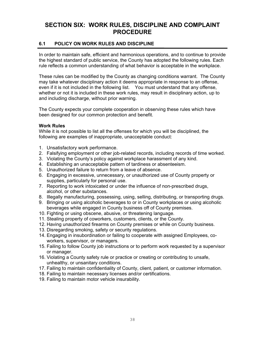# **SECTION SIX: WORK RULES, DISCIPLINE AND COMPLAINT PROCEDURE**

## **6.1 POLICY ON WORK RULES AND DISCIPLINE**

In order to maintain safe, efficient and harmonious operations, and to continue to provide the highest standard of public service, the County has adopted the following rules. Each rule reflects a common understanding of what behavior is acceptable in the workplace.

These rules can be modified by the County as changing conditions warrant. The County may take whatever disciplinary action it deems appropriate in response to an offense, even if it is not included in the following list. You must understand that any offense, whether or not it is included in these work rules, may result in disciplinary action, up to and including discharge, without prior warning.

The County expects your complete cooperation in observing these rules which have been designed for our common protection and benefit.

#### **Work Rules**

While it is not possible to list all the offenses for which you will be disciplined, the following are examples of inappropriate, unacceptable conduct:

- 1. Unsatisfactory work performance.
- 2. Falsifying employment or other job-related records, including records of time worked.
- 3. Violating the County's policy against workplace harassment of any kind.
- 4. Establishing an unacceptable pattern of tardiness or absenteeism.
- 5. Unauthorized failure to return from a leave of absence.
- 6. Engaging in excessive, unnecessary, or unauthorized use of County property or supplies, particularly for personal use.
- 7. Reporting to work intoxicated or under the influence of non-prescribed drugs, alcohol, or other substances.
- 8. Illegally manufacturing, possessing, using, selling, distributing, or transporting drugs.
- 9. Bringing or using alcoholic beverages to or in County workplaces or using alcoholic beverages while engaged in County business off of County premises.
- 10. Fighting or using obscene, abusive, or threatening language.
- 11. Stealing property of coworkers, customers, clients, or the County.
- 12. Having unauthorized firearms on County premises or while on County business.
- 13. Disregarding smoking, safety or security regulations.
- 14. Engaging in insubordination or failing to cooperate with assigned Employees, coworkers, supervisor, or managers.
- 15. Failing to follow County job instructions or to perform work requested by a supervisor or manager.
- 16. Violating a County safety rule or practice or creating or contributing to unsafe, unhealthy, or unsanitary conditions.
- 17. Failing to maintain confidentiality of County, client, patient, or customer information.
- 18. Failing to maintain necessary licenses and/or certifications.
- 19. Failing to maintain motor vehicle insurability.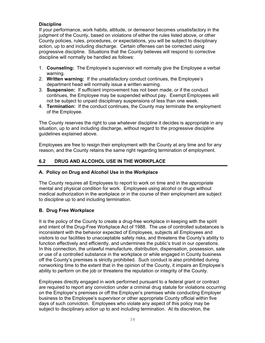## **Discipline**

If your performance, work habits, attitude, or demeanor becomes unsatisfactory in the judgment of the County, based on violations of either the rules listed above, or other County policies, rules, procedures, or expectations, you will be subject to disciplinary action, up to and including discharge. Certain offenses can be corrected using progressive discipline. Situations that the County believes will respond to corrective discipline will normally be handled as follows:

- 1. **Counseling:** The Employee's supervisor will normally give the Employee a verbal warning.
- 2. **Written warning:** If the unsatisfactory conduct continues, the Employee's department head will normally issue a written warning.
- 3. **Suspension:** If sufficient improvement has not been made, or if the conduct continues, the Employee may be suspended without pay. Exempt Employees will not be subject to unpaid disciplinary suspensions of less than one week.
- 4. **Termination:** If the conduct continues, the County may terminate the employment of the Employee.

The County reserves the right to use whatever discipline it decides is appropriate in any situation, up to and including discharge, without regard to the progressive discipline guidelines explained above.

Employees are free to resign their employment with the County at any time and for any reason, and the County retains the same right regarding termination of employment.

## **6.2 DRUG AND ALCOHOL USE IN THE WORKPLACE**

## **A. Policy on Drug and Alcohol Use in the Workplace**

The County requires all Employees to report to work on time and in the appropriate mental and physical condition for work. Employees using alcohol or drugs without medical authorization in the workplace or in the course of their employment are subject to discipline up to and including termination.

## **B. Drug Free Workplace**

It is the policy of the County to create a drug-free workplace in keeping with the spirit and intent of the Drug-Free Workplace Act of 1988. The use of controlled substances is inconsistent with the behavior expected of Employees, subjects all Employees and visitors to our facilities to unacceptable safety risks, and threatens the County's ability to function effectively and efficiently, and undermines the public's trust in our operations. In this connection, the unlawful manufacture, distribution, dispensation, possession, sale or use of a controlled substance in the workplace or while engaged in County business off the County's premises is strictly prohibited. Such conduct is also prohibited during nonworking time to the extent that in the opinion of the County, it impairs an Employee's ability to perform on the job or threatens the reputation or integrity of the County.

Employees directly engaged in work performed pursuant to a federal grant or contract are required to report any conviction under a criminal drug statute for violations occurring on the Employer's premises or off the Employer's premises while conducting Employer business to the Employee's supervisor or other appropriate County official within five days of such conviction. Employees who violate any aspect of this policy may be subject to disciplinary action up to and including termination. At its discretion, the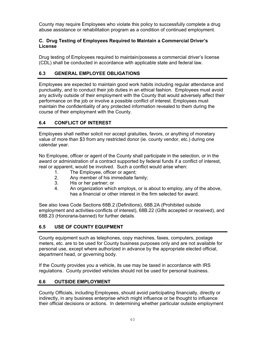County may require Employees who violate this policy to successfully complete a drug abuse assistance or rehabilitation program as a condition of continued employment.

## **C. Drug Testing of Employees Required to Maintain a Commercial Driver's License**

Drug testing of Employees required to maintain/possess a commercial driver's license (CDL) shall be conducted in accordance with applicable state and federal law.

## **6.3 GENERAL EMPLOYEE OBLIGATIONS**

Employees are expected to maintain good work habits including regular attendance and punctuality, and to conduct their job duties in an ethical fashion. Employees must avoid any activity outside of their employment with the County that would adversely affect their performance on the job or involve a possible conflict of interest. Employees must maintain the confidentiality of any protected information revealed to them during the course of their employment with the County.

## **6.4 CONFLICT OF INTEREST**

Employees shall neither solicit nor accept gratuities, favors, or anything of monetary value of more than \$3 from any restricted donor (ie. county vendor, etc.) during one calendar year.

No Employee, officer or agent of the County shall participate in the selection, or in the award or administration of a contract supported by federal funds if a conflict of interest, real or apparent, would be involved. Such a conflict would arise when:

- 1. The Employee, officer or agent;
- 2. Any member of his immediate family;
- 3. His or her partner; or
- 4. An organization which employs, or is about to employ, any of the above, has a financial or other interest in the firm selected for award.

See also Iowa Code Sections 68B.2 (Definitions), 68B.2A (Prohibited outside employment and activities-conflicts of interest), 68B.22 (Gifts accepted or received), and 68B.23 (Honoraria-banned) for further details.

## **6.5 USE OF COUNTY EQUIPMENT**

County equipment such as telephones, copy machines, faxes, computers, postage meters, etc. are to be used for County business purposes only and are not available for personal use, except where authorized in advance by the appropriate elected official, department head, or governing body.

If the County provides you a vehicle, its use may be taxed in accordance with IRS regulations. County provided vehicles should not be used for personal business.

## **6.6 OUTSIDE EMPLOYMENT**

County Officials, including Employees, should avoid participating financially, directly or indirectly, in any business enterprise which might influence or be thought to influence their official decisions or actions. In determining whether particular outside employment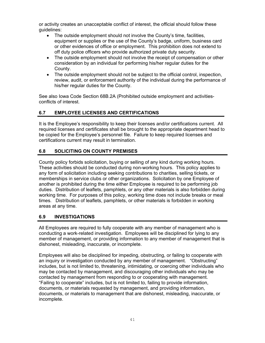or activity creates an unacceptable conflict of interest, the official should follow these guidelines:

- The outside employment should not involve the County's time, facilities, equipment or supplies or the use of the County's badge, uniform, business card or other evidences of office or employment. This prohibition does not extend to off duty police officers who provide authorized private duty security.
- The outside employment should not involve the receipt of compensation or other consideration by an individual for performing his/her regular duties for the County.
- The outside employment should not be subject to the official control, inspection, review, audit, or enforcement authority of the individual during the performance of his/her regular duties for the County.

See also Iowa Code Section 68B.2A (Prohibited outside employment and activitiesconflicts of interest.

## **6.7 EMPLOYEE LICENSES AND CERTIFICATIONS**

It is the Employee's responsibility to keep their licenses and/or certifications current. All required licenses and certificates shall be brought to the appropriate department head to be copied for the Employee's personnel file. Failure to keep required licenses and certifications current may result in termination.

## **6.8 SOLICITING ON COUNTY PREMISES**

County policy forbids solicitation, buying or selling of any kind during working hours. These activities should be conducted during non-working hours. This policy applies to any form of solicitation including seeking contributions to charities, selling tickets, or memberships in service clubs or other organizations. Solicitation by one Employee of another is prohibited during the time either Employee is required to be performing job duties. Distribution of leaflets, pamphlets, or any other materials is also forbidden during working time. For purposes of this policy, working time does not include breaks or meal times. Distribution of leaflets, pamphlets, or other materials is forbidden in working areas at any time.

## **6.9 INVESTIGATIONS**

All Employees are required to fully cooperate with any member of management who is conducting a work-related investigation. Employees will be disciplined for lying to any member of management, or providing information to any member of management that is dishonest, misleading, inaccurate, or incomplete.

Employees will also be disciplined for impeding, obstructing, or failing to cooperate with an inquiry or investigation conducted by any member of management. "Obstructing" includes, but is not limited to, threatening, intimidating, or coercing other individuals who may be contacted by management, and discouraging other individuals who may be contacted by management from responding to or cooperating with management. "Failing to cooperate" includes, but is not limited to, failing to provide information, documents, or materials requested by management, and providing information, documents, or materials to management that are dishonest, misleading, inaccurate, or incomplete.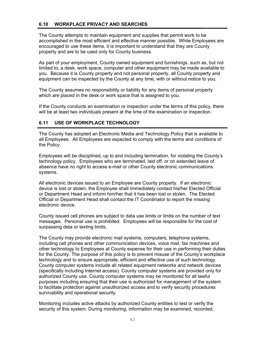#### **6.10 WORKPLACE PRIVACY AND SEARCHES**

The County attempts to maintain equipment and supplies that permit work to be accomplished in the most efficient and effective manner possible. While Employees are encouraged to use these items, it is important to understand that they are County property and are to be used only for County business.

As part of your employment, County owned equipment and furnishings, such as, but not limited to, a desk, work space, computer and other equipment may be made available to you. Because it is County property and not personal property, all County property and equipment can be inspected by the County at any time, with or without notice to you.

The County assumes no responsibility or liability for any items of personal property which are placed in the desk or work space that is assigned to you.

If the County conducts an examination or inspection under the terms of this policy, there will be at least two individuals present at the time of the examination or inspection.

#### **6.11 USE OF WORKPLACE TECHNOLOGY**

The County has adopted an Electronic Media and Technology Policy that is available to all Employees. All Employees are expected to comply with the terms and conditions of the Policy.

Employees will be disciplined, up to and including termination, for violating the County's technology policy. Employees who are terminated, laid off, or on extended leave of absence have no right to access e-mail or other County electronic communications systems.

All electronic devices issued to an Employee are County property. If an electronic device is lost or stolen, the Employee shall immediately contact his/her Elected Official or Department Head and inform him/her that it has been lost or stolen. The Elected Official or Department Head shall contact the IT Coordinator to report the missing electronic device.

County issued cell phones are subject to data use limits or limits on the number of text messages. Personal use is prohibited. Employees will be responsible for the cost of surpassing data or texting limits.

The County may provide electronic mail systems, computers, telephone systems, including cell phones and other communication devices, voice mail, fax machines and other technology to Employees at County expense for their use in performing their duties for the County. The purpose of this policy is to prevent misuse of the County's workplace technology and to ensure appropriate, efficient and effective use of such technology. County computer systems include all related equipment networks and network devices (specifically including Internet access). County computer systems are provided only for authorized County use. County computer systems may be monitored for all lawful purposes including ensuring that their use is authorized for management of the system to facilitate protection against unauthorized access and to verify security procedures survivability and operational security.

Monitoring includes active attacks by authorized County entities to test or verify the security of this system. During monitoring, information may be examined, recorded,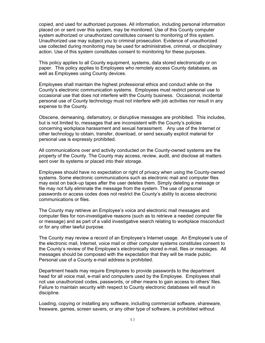copied, and used for authorized purposes. All information, including personal information placed on or sent over this system, may be monitored. Use of this County computer system authorized or unauthorized constitutes consent to monitoring of this system. Unauthorized use may subject you to criminal prosecution. Evidence of unauthorized use collected during monitoring may be used for administrative, criminal, or disciplinary action. Use of this system constitutes consent to monitoring for these purposes.

This policy applies to all County equipment, systems, data stored electronically or on paper. This policy applies to Employees who remotely access County databases, as well as Employees using County devices.

Employees shall maintain the highest professional ethics and conduct while on the County's electronic communication systems. Employees must restrict personal use to occasional use that does not interfere with the County business. Occasional, incidental personal use of County technology must not interfere with job activities nor result in any expense to the County.

Obscene, demeaning, defamatory, or disruptive messages are prohibited. This includes, but is not limited to, messages that are inconsistent with the County's policies concerning workplace harassment and sexual harassment. Any use of the Internet or other technology to obtain, transfer, download, or send sexually explicit material for personal use is expressly prohibited.

All communications over and activity conducted on the County-owned systems are the property of the County. The County may access, review, audit, and disclose all matters sent over its systems or placed into their storage.

Employees should have no expectation or right of privacy when using the County-owned systems. Some electronic communications such as electronic mail and computer files may exist on back-up tapes after the user deletes them. Simply deleting a message or file may not fully eliminate the message from the system. The use of personal passwords or access codes does not restrict the County's ability to access electronic communications or files.

The County may retrieve an Employee's voice and electronic mail messages and computer files for non-investigative reasons (such as to retrieve a needed computer file or message) and as part of a valid investigative search relating to workplace misconduct or for any other lawful purpose.

The County may review a record of an Employee's Internet usage. An Employee's use of the electronic mail, Internet, voice mail or other computer systems constitutes consent to the County's review of the Employee's electronically stored e-mail, files or messages. All messages should be composed with the expectation that they will be made public. Personal use of a County e-mail address is prohibited.

Department heads may require Employees to provide passwords to the department head for all voice mail, e-mail and computers used by the Employee. Employees shall not use unauthorized codes, passwords, or other means to gain access to others' files. Failure to maintain security with respect to County electronic databases will result in discipline.

Loading, copying or installing any software, including commercial software, shareware, freeware, games, screen savers, or any other type of software, is prohibited without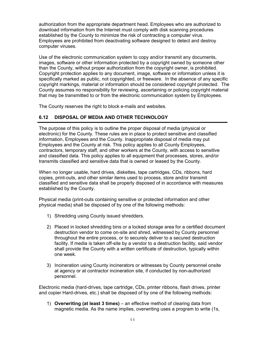authorization from the appropriate department head. Employees who are authorized to download information from the Internet must comply with disk scanning procedures established by the County to minimize the risk of contracting a computer virus. Employees are prohibited from deactivating software designed to detect and destroy computer viruses.

Use of the electronic communication system to copy and/or transmit any documents, images, software or other information protected by a copyright owned by someone other than the County, without proper authorization from the copyright owner, is prohibited. Copyright protection applies to any document, image, software or information unless it is specifically marked as public, not copyrighted, or freeware. In the absence of any specific copyright markings, material or information should be considered copyright protected. The County assumes no responsibility for reviewing, ascertaining or policing copyright material that may be transmitted to or from the electronic communication system by Employees.

The County reserves the right to block e-mails and websites.

## **6.12 DISPOSAL OF MEDIA AND OTHER TECHNOLOGY**

The purpose of this policy is to outline the proper disposal of media (physical or electronic) for the County. These rules are in place to protect sensitive and classified information, Employees and the County. Inappropriate disposal of media may put Employees and the County at risk. This policy applies to all County Employees, contractors, temporary staff, and other workers at the County, with access to sensitive and classified data. This policy applies to all equipment that processes, stores, and/or transmits classified and sensitive data that is owned or leased by the County.

When no longer usable, hard drives, diskettes, tape cartridges, CDs, ribbons, hard copies, print-outs, and other similar items used to process, store and/or transmit classified and sensitive data shall be properly disposed of in accordance with measures established by the County.

Physical media (print-outs containing sensitive or protected information and other physical media) shall be disposed of by one of the following methods:

- 1) Shredding using County issued shredders.
- 2) Placed in locked shredding bins or a locked storage area for a certified document destruction vendor to come on-site and shred, witnessed by County personnel throughout the entire process, or to securely deliver to a secured destruction facility. If media is taken off-site by a vendor to a destruction facility, said vendor shall provide the County with a written certificate of destruction, typically within one week.
- 3) Incineration using County incinerators or witnesses by County personnel onsite at agency or at contractor incineration site, if conducted by non-authorized personnel.

Electronic media (hard-drives, tape cartridge, CDs, printer ribbons, flash drives, printer and copier Hard-drives, etc.) shall be disposed of by one of the following methods:

1) **Overwriting (at least 3 times)** – an effective method of clearing data from magnetic media. As the name implies, overwriting uses a program to write (1s,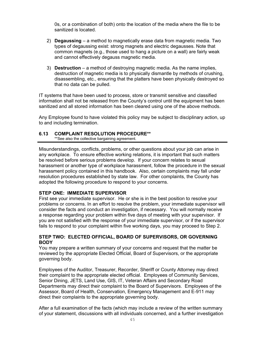0s, or a combination of both) onto the location of the media where the file to be sanitized is located.

- 2) **Degaussing**  a method to magnetically erase data from magnetic media. Two types of degaussing exist: strong magnets and electric degausses. Note that common magnets (e.g., those used to hang a picture on a wall) are fairly weak and cannot effectively degauss magnetic media.
- 3) **Destruction** a method of destroying magnetic media. As the name implies, destruction of magnetic media is to physically dismantle by methods of crushing, disassembling, etc., ensuring that the platters have been physically destroyed so that no data can be pulled.

IT systems that have been used to process, store or transmit sensitive and classified information shall not be released from the County's control until the equipment has been sanitized and all stored information has been cleared using one of the above methods.

Any Employee found to have violated this policy may be subject to disciplinary action, up to and including termination.

## **6.13 COMPLAINT RESOLUTION PROCEDURE\*\***

\*\*See also the collective bargaining agreement.

Misunderstandings, conflicts, problems, or other questions about your job can arise in any workplace. To ensure effective working relations, it is important that such matters be resolved before serious problems develop. If your concern relates to sexual harassment or another type of workplace harassment, follow the procedure in the sexual harassment policy contained in this handbook. Also, certain complaints may fall under resolution procedures established by state law. For other complaints, the County has adopted the following procedure to respond to your concerns.

#### **STEP ONE: IMMEDIATE SUPERVISOR**

First see your immediate supervisor. He or she is in the best position to resolve your problems or concerns. In an effort to resolve the problem, your immediate supervisor will consider the facts and conduct an investigation, if necessary. You will normally receive a response regarding your problem within five days of meeting with your supervisor. If you are not satisfied with the response of your immediate supervisor, or if the supervisor fails to respond to your complaint within five working days, you may proceed to Step 2.

#### **STEP TWO: ELECTED OFFICIAL, BOARD OF SUPERVISORS, OR GOVERNING BODY**

You may prepare a written summary of your concerns and request that the matter be reviewed by the appropriate Elected Official, Board of Supervisors, or the appropriate governing body.

Employees of the Auditor, Treasurer, Recorder, Sheriff or County Attorney may direct their complaint to the appropriate elected official. Employees of Community Services, Senior Dining, JETS, Land Use, GIS, IT, Veteran Affairs and Secondary Road Departments may direct their complaint to the Board of Supervisors. Employees of the Assessor, Board of Health, Conservation, Emergency Management and E-911 may direct their complaints to the appropriate governing body.

After a full examination of the facts (which may include a review of the written summary of your statement, discussions with all individuals concerned, and a further investigation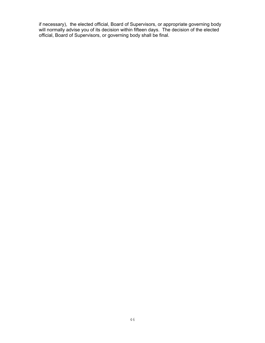if necessary), the elected official, Board of Supervisors, or appropriate governing body will normally advise you of its decision within fifteen days. The decision of the elected official, Board of Supervisors, or governing body shall be final.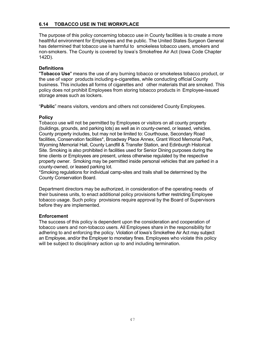## **6.14 TOBACCO USE IN THE WORKPLACE**

The purpose of this policy concerning tobacco use in County facilities is to create a more healthful environment for Employees and the public. The United States Surgeon General has determined that tobacco use is harmful to smokeless tobacco users, smokers and non-smokers. The County is covered by Iowa's Smokefree Air Act (Iowa Code Chapter 142D).

## **Definitions**

"**Tobacco Use**" means the use of any burning tobacco or smokeless tobacco product, or the use of vapor products including e-cigarettes, while conducting official County business. This includes all forms of cigarettes and other materials that are smoked. This policy does not prohibit Employees from storing tobacco products in Employee-issued storage areas such as lockers.

"**Public**" means visitors, vendors and others not considered County Employees.

#### **Policy**

Tobacco use will not be permitted by Employees or visitors on all county property (buildings, grounds, and parking lots) as well as in county-owned, or leased, vehicles. County property includes, but may not be limited to: Courthouse, Secondary Road facilities, Conservation facilities\*, Broadway Place Annex, Grant Wood Memorial Park, Wyoming Memorial Hall, County Landfill & Transfer Station, and Edinburgh Historical Site. Smoking is also prohibited in facilities used for Senior Dining purposes during the time clients or Employees are present, unless otherwise regulated by the respective property owner. Smoking may be permitted inside personal vehicles that are parked in a county-owned, or leased parking lot.

\*Smoking regulations for individual camp-sites and trails shall be determined by the County Conservation Board.

Department directors may be authorized, in consideration of the operating needs of their business units, to enact additional policy provisions further restricting Employee tobacco usage. Such policy provisions require approval by the Board of Supervisors before they are implemented.

#### **Enforcement**

The success of this policy is dependent upon the consideration and cooperation of tobacco users and non-tobacco users. All Employees share in the responsibility for adhering to and enforcing the policy. Violation of Iowa's Smokefree Air Act may subject an Employee, and/or the Employer to monetary fines. Employees who violate this policy will be subject to disciplinary action up to and including termination.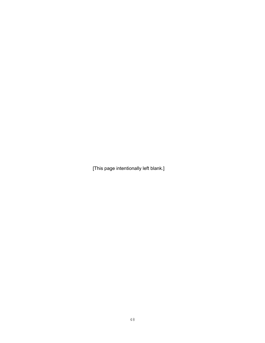[This page intentionally left blank.]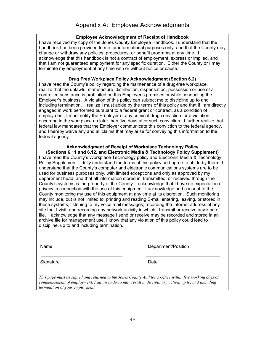# Appendix A: Employee Acknowledgments

#### **Employee Acknowledgment of Receipt of Handbook**

I have received my copy of the Jones County Employee Handbook. I understand that the handbook has been provided to me for informational purposes only, and that the County may change or withdraw any policies, procedures, or benefit programs at any time. I acknowledge that this handbook is not a contract of employment, express or implied, and that I am not guaranteed employment for any specific duration. Either the County or I may terminate my employment at any time with or without notice or cause.

#### **Drug Free Workplace Policy Acknowledgment (Section 6.2)**

I have read the County's policy regarding the maintenance of a drug-free workplace. I realize that the unlawful manufacture, distribution, dispensation, possession or use of a controlled substance is prohibited on this Employer's premises or while conducting the Employer's business. A violation of this policy can subject me to discipline up to and including termination. I realize I must abide by the terms of this policy and that if I am directly engaged in work performed pursuant to a federal grant or contract, as a condition of employment, I must notify the Employer of any criminal drug conviction for a violation occurring in the workplace no later than five days after such conviction. I further realize that federal law mandates that the Employer communicate this conviction to the federal agency, and I hereby waive any and all claims that may arise for conveying this information to the federal agency.

# **Acknowledgment of Receipt of Workplace Technology Policy**

**(Sections 6.11 and 6.12, and Electronic Media & Technology Policy Supplement)**  I have read the County's Workplace Technology policy and Electronic Media & Technology Policy Supplement. I fully understand the terms of this policy and agree to abide by them. I understand that the County's computer and electronic communications systems are to be used for business purposes only, with limited exceptions and only as approved by my department head, and that all information stored in, transmitted, or received through the County's systems is the property of the County. I acknowledge that I have no expectation of privacy in connection with the use of this equipment. I acknowledge and consent to the County monitoring my use of this equipment at any time at its discretion. Such monitoring may include, but is not limited to, printing and reading E-mail entering, leaving, or stored in these systems; listening to my voice mail messages; recording the Internet address of any site that I visit; and recording any network activity in which I transmit or receive any kind of file. I acknowledge that any message I send or receive may be recorded and stored in an archive file for management use. I know that any violation of this policy could lead to discipline, up to and including termination.

Name **Name** Department/Position

Signature Date Date

*This page must be signed and returned to the Jones County Auditor's Office within five working days of commencement of employment. Failure to do so may result in disciplinary action, up to, and including termination of your employment.*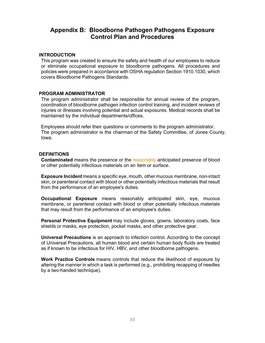# **Appendix B: Bloodborne Pathogen Pathogens Exposure Control Plan and Procedures**

#### **INTRODUCTION**

This program was created to ensure the safety and health of our employees to reduce or eliminate occupational exposure to bloodborne pathogens. All procedures and policies were prepared in accordance with OSHA regulation Section 1910.1030, which covers Bloodborne Pathogens Standards.

#### **PROGRAM ADMINISTRATOR**

The program administrator shall be responsible for annual review of the program, coordination of bloodborne pathogen infection control training, and incident reviews of injuries or illnesses involving potential and actual exposures. Medical records shall be maintained by the individual departments/offices.

Employees should refer their questions or comments to the program administrator. The program administrator is the chairman of the Safety Committee, of Jones County, Iowa.

#### **DEFINITIONS**

**Contaminated** means the presence or the reasonably anticipated presence of blood or other potentially infectious materials on an item or surface.

**Exposure Incident** means a specific eye, mouth, other mucous membrane, non-intact skin, or parenteral contact with blood or other potentially infectious materials that result from the performance of an employee's duties.

**Occupational Exposure** means reasonably anticipated skin, eye, mucous membrane, or parenteral contact with blood or other potentially infectious materials that may result from the performance of an employee's duties.

**Personal Protective Equipment** may include gloves, gowns, laboratory coats, face shields or masks, eye protection, pocket masks, and other protective gear.

**Universal Precautions** is an approach to infection control. According to the concept of Universal Precautions, all human blood and certain human body fluids are treated as if known to be infectious for HIV, HBV, and other bloodborne pathogens.

**Work Practice Controls** means controls that reduce the likelihood of exposure by altering the manner in which a task is performed (e.g., prohibiting recapping of needles by a two-handed technique).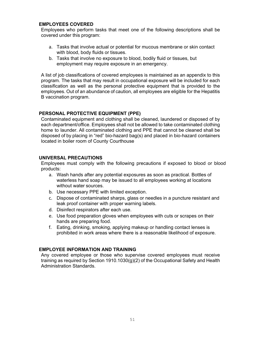#### **EMPLOYEES COVERED**

Employees who perform tasks that meet one of the following descriptions shall be covered under this program:

- a. Tasks that involve actual or potential for mucous membrane or skin contact with blood, body fluids or tissues.
- b. Tasks that involve no exposure to blood, bodily fluid or tissues, but employment may require exposure in an emergency.

A list of job classifications of covered employees is maintained as an appendix to this program. The tasks that may result in occupational exposure will be included for each classification as well as the personal protective equipment that is provided to the employees. Out of an abundance of caution, all employees are eligible for the Hepatitis B vaccination program.

#### **PERSONAL PROTECTIVE EQUIPMENT (PPE)**

Contaminated equipment and clothing shall be cleaned, laundered or disposed of by each department/office. Employees shall not be allowed to take contaminated clothing home to launder. All contaminated clothing and PPE that cannot be cleaned shall be disposed of by placing in "red" bio-hazard bag(s) and placed in bio-hazard containers located in boiler room of County Courthouse

#### **UNIVERSAL PRECAUTIONS**

Employees must comply with the following precautions if exposed to blood or blood products:

- a. Wash hands after any potential exposures as soon as practical. Bottles of waterless hand soap may be issued to all employees working at locations without water sources.
- b. Use necessary PPE with limited exception.
- c. Dispose of contaminated sharps, glass or needles in a puncture resistant and leak proof container with proper warning labels.
- d. Disinfect respirators after each use.
- e. Use food preparation gloves when employees with cuts or scrapes on their hands are preparing food.
- f. Eating, drinking, smoking, applying makeup or handling contact lenses is prohibited in work areas where there is a reasonable likelihood of exposure.

#### **EMPLOYEE INFORMATION AND TRAINING**

Any covered employee or those who supervise covered employees must receive training as required by Section 1910.1030(g)(2) of the Occupational Safety and Health Administration Standards.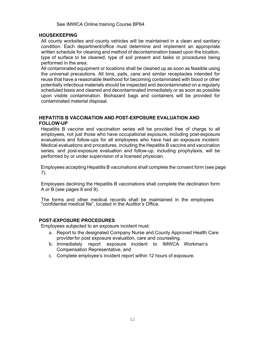#### See IMWCA Online training Course BP64

#### **HOUSEKEEPING**

All county worksites and county vehicles will be maintained in a clean and sanitary condition. Each department/office must determine and implement an appropriate written schedule for cleaning and method of decontamination based upon the location, type of surface to be cleaned, type of soil present and tasks or procedures being performed in the area.

All contaminated equipment or locations shall be cleaned up as soon as feasible using the universal precautions. All bins, pails, cans and similar receptacles intended for reuse that have a reasonable likelihood for becoming contaminated with blood or other potentially infectious materials should be inspected and decontaminated on a regularly scheduled basis and cleaned and decontaminated immediately or as soon as possible upon visible contamination. Biohazard bags and containers will be provided for contaminated material disposal.

#### **HEPATITIS B VACCINATION AND POST-EXPOSURE EVALUATION AND FOLLOW-UP**

Hepatitis B vaccine and vaccination series will be provided free of charge to all employees, not just those who have occupational exposure, including post-exposure evaluations and follow-ups for all employees who have had an exposure incident. Medical evaluations and procedures, including the Hepatitis B vaccine and vaccination series, and post-exposure evaluation and follow-up, including prophylaxis, will be performed by or under supervision of a licensed physician.

Employees accepting Hepatitis B vaccinations shall complete the consent form (see page 7).

Employees declining the Hepatitis B vaccinations shall complete the declination form A or B (see pages 8 and 9).

The forms and other medical records shall be maintained in the employees "confidential medical file", located in the Auditor's Office.

#### **POST-EXPOSURE PROCEDURES**

Employees subjected to an exposure incident must:

- a. Report to the designated Company Nurse and County Approved Health Care provider for post exposure evaluation, care and counseling,
- b. Immediately report exposure incident to IMWCA Workman's Compensation Representative, and
- c. Complete employee's incident report within 12 hours of exposure.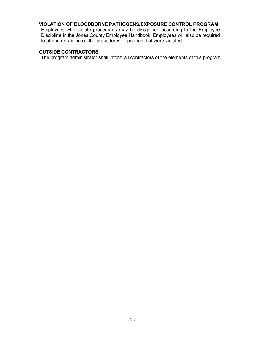## **VIOLATION OF BLOODBORNE PATHOGENS/EXPOSURE CONTROL PROGRAM**

Employees who violate procedures may be disciplined according to the Employee Discipline in the Jones County Employee Handbook. Employees will also be required to attend retraining on the procedures or policies that were violated.

#### **OUTSIDE CONTRACTORS**

The program administrator shall inform all contractors of the elements of this program.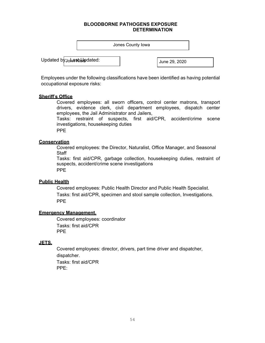#### **BLOODBORNE PATHOGENS EXPOSURE DETERMINATION**

| Jones County Iowa             |  |  |               |  |
|-------------------------------|--|--|---------------|--|
|                               |  |  |               |  |
| Updated by John \$16 hpdated: |  |  | June 29, 2020 |  |

Employees under the following classifications have been identified as having potential occupational exposure risks:

## **Sheriff**'**s Office**

 Covered employees: all sworn officers, control center matrons, transport drivers, evidence clerk, civil department employees, dispatch center employees, the Jail Administrator and Jailers,

 Tasks: restraint of suspects, first aid/CPR, accident/crime scene investigations, housekeeping duties PPE

## **Conservation**

 Covered employees: the Director, Naturalist, Office Manager, and Seasonal **Staff** 

 Tasks: first aid/CPR, garbage collection, housekeeping duties, restraint of suspects, accident/crime scene investigations PPE

## **Public Health**

 Covered employees: Public Health Director and Public Health Specialist. Tasks: first aid/CPR, specimen and stool sample collection, Investigations. PPE

## **Emergency Management.**

 Covered employees: coordinator Tasks: first aid/CPR PPE

## **JETS.**

 Covered employees: director, drivers, part time driver and dispatcher, dispatcher. Tasks: first aid/CPR

PPE: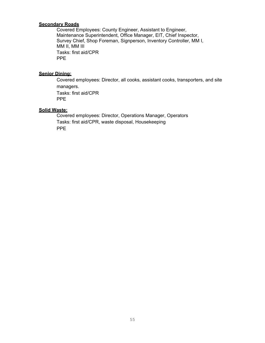## **Secondary Roads**

 Covered Employees: County Engineer, Assistant to Engineer, Maintenance Superintendent, Office Manager, EIT, Chief Inspector, Survey Chief, Shop Foreman, Signperson, Inventory Controller, MM I, MM II, MM III Tasks: first aid/CPR PPE

#### **Senior Dining:**

 Covered employees: Director, all cooks, assistant cooks, transporters, and site managers. Tasks: first aid/CPR PPE

#### **Solid Waste:**

 Covered employees: Director, Operations Manager, Operators Tasks: first aid/CPR, waste disposal, Housekeeping PPE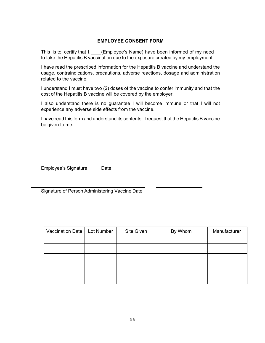### **EMPLOYEE CONSENT FORM**

This is to certify that I, \_\_\_(Employee's Name) have been informed of my need to take the Hepatitis B vaccination due to the exposure created by my employment.

I have read the prescribed information for the Hepatitis B vaccine and understand the usage, contraindications, precautions, adverse reactions, dosage and administration related to the vaccine.

I understand I must have two (2) doses of the vaccine to confer immunity and that the cost of the Hepatitis B vaccine will be covered by the employer.

I also understand there is no guarantee I will become immune or that I will not experience any adverse side effects from the vaccine.

I have read this form and understand its contents. I request that the Hepatitis B vaccine be given to me.

| <b>Employee's Signature</b> | Date |
|-----------------------------|------|
|-----------------------------|------|

Signature of Person Administering Vaccine Date

| Vaccination Date | Lot Number | Site Given | By Whom | Manufacturer |
|------------------|------------|------------|---------|--------------|
|                  |            |            |         |              |
|                  |            |            |         |              |
|                  |            |            |         |              |
|                  |            |            |         |              |
|                  |            |            |         |              |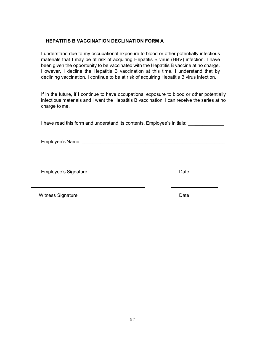#### **HEPATITIS B VACCINATION DECLINATION FORM A**

I understand due to my occupational exposure to blood or other potentially infectious materials that I may be at risk of acquiring Hepatitis B virus (HBV) infection. I have been given the opportunity to be vaccinated with the Hepatitis B vaccine at no charge. However, I decline the Hepatitis B vaccination at this time. I understand that by declining vaccination, I continue to be at risk of acquiring Hepatitis B virus infection.

If in the future, if I continue to have occupational exposure to blood or other potentially infectious materials and I want the Hepatitis B vaccination, I can receive the series at no charge to me.

I have read this form and understand its contents. Employee's initials:

Employee's Name: \_\_\_\_\_\_\_\_\_\_\_\_\_\_\_\_\_\_\_\_\_\_\_\_\_\_\_\_\_\_\_\_\_\_\_\_\_\_\_\_\_\_\_\_\_\_\_\_\_\_\_\_\_\_

Employee's Signature **Date** Date

Witness Signature **Date** 

57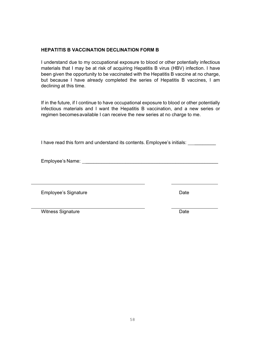## **HEPATITIS B VACCINATION DECLINATION FORM B**

I understand due to my occupational exposure to blood or other potentially infectious materials that I may be at risk of acquiring Hepatitis B virus (HBV) infection. I have been given the opportunity to be vaccinated with the Hepatitis B vaccine at no charge, but because I have already completed the series of Hepatitis B vaccines, I am declining at this time.

If in the future, if I continue to have occupational exposure to blood or other potentially infectious materials and I want the Hepatitis B vaccination, and a new series or regimen becomes available I can receive the new series at no charge to me.

I have read this form and understand its contents. Employee's initials:  $\sqrt{ }$ 

Employee's Name: \_\_\_\_\_\_\_\_\_\_\_\_\_\_\_\_\_\_\_\_\_\_\_\_\_\_\_\_\_\_\_\_\_\_\_\_\_\_\_\_\_\_\_\_\_\_\_\_\_\_

Employee's Signature **Date** Date

Witness Signature **Date**